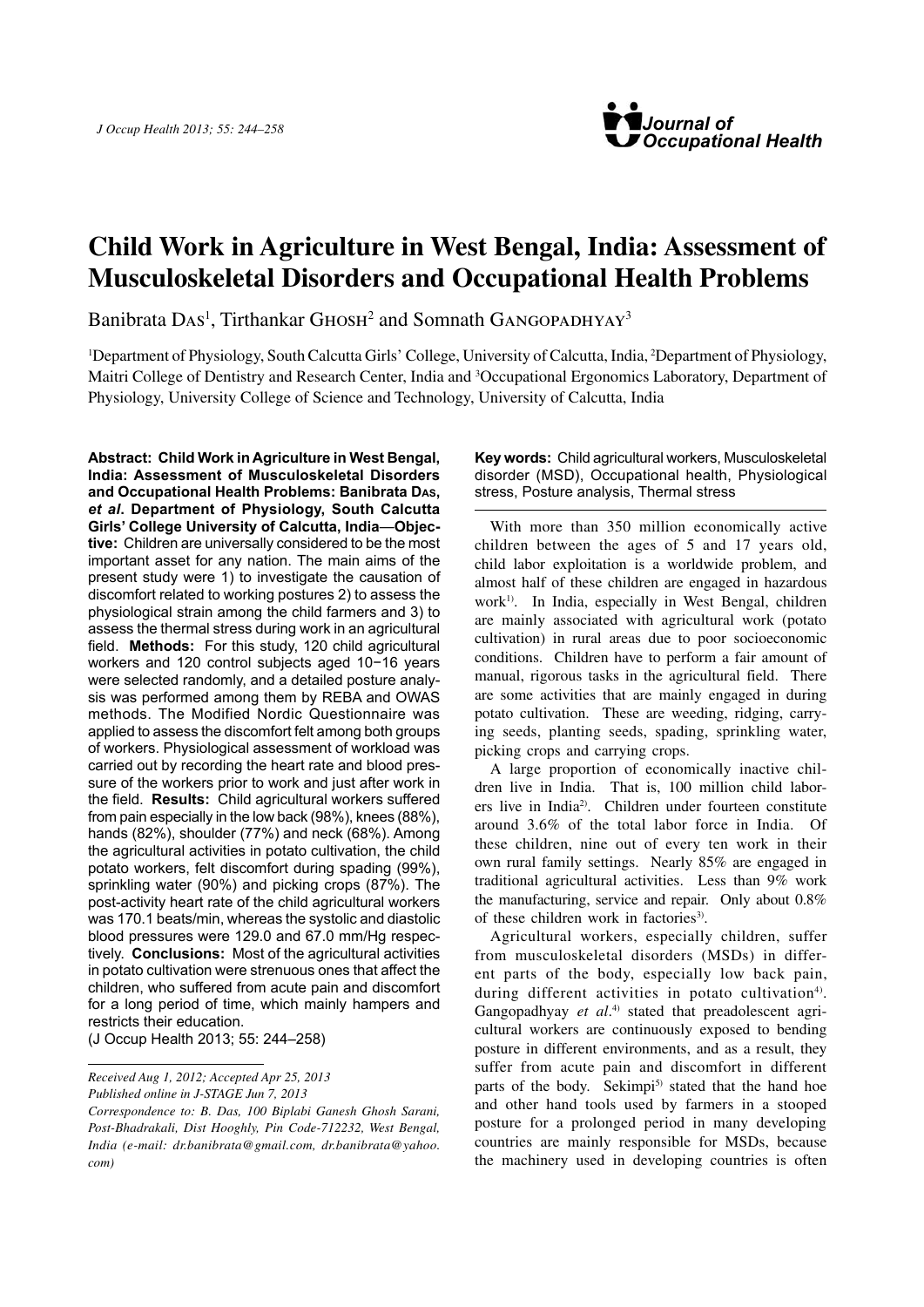

# **Child Work in Agriculture in West Bengal, India: Assessment of Musculoskeletal Disorders and Occupational Health Problems**

Banibrata DAs<sup>1</sup>, Tirthankar Ghosh<sup>2</sup> and Somnath GANGOPADHYAY<sup>3</sup>

<sup>1</sup>Department of Physiology, South Calcutta Girls' College, University of Calcutta, India, <sup>2</sup>Department of Physiology, Maitri College of Dentistry and Research Center, India and <sup>3</sup>Occupational Ergonomics Laboratory, Department of Physiology, University College of Science and Technology, University of Calcutta, India

**Abstract: Child Work in Agriculture in West Bengal, India: Assessment of Musculoskeletal Disorders and Occupational Health Problems: Banibrata DAS,**  *et al***. Department of Physiology, South Calcutta Girls' College University of Calcutta, India**—**Objective:** Children are universally considered to be the most important asset for any nation. The main aims of the present study were 1) to investigate the causation of discomfort related to working postures 2) to assess the physiological strain among the child farmers and 3) to assess the thermal stress during work in an agricultural field. **Methods:** For this study, 120 child agricultural workers and 120 control subjects aged 10−16 years were selected randomly, and a detailed posture analysis was performed among them by REBA and OWAS methods. The Modified Nordic Questionnaire was applied to assess the discomfort felt among both groups of workers. Physiological assessment of workload was carried out by recording the heart rate and blood pressure of the workers prior to work and just after work in the field. **Results:** Child agricultural workers suffered from pain especially in the low back (98%), knees (88%), hands (82%), shoulder (77%) and neck (68%). Among the agricultural activities in potato cultivation, the child potato workers, felt discomfort during spading (99%), sprinkling water (90%) and picking crops (87%). The post-activity heart rate of the child agricultural workers was 170.1 beats/min, whereas the systolic and diastolic blood pressures were 129.0 and 67.0 mm/Hg respectively. **Conclusions:** Most of the agricultural activities in potato cultivation were strenuous ones that affect the children, who suffered from acute pain and discomfort for a long period of time, which mainly hampers and restricts their education.

(J Occup Health 2013; 55: 244–258)

*Published online in J-STAGE Jun 7, 2013*

**Key words:** Child agricultural workers, Musculoskeletal disorder (MSD), Occupational health, Physiological stress, Posture analysis, Thermal stress

With more than 350 million economically active children between the ages of 5 and 17 years old, child labor exploitation is a worldwide problem, and almost half of these children are engaged in hazardous work<sup>1)</sup>. In India, especially in West Bengal, children are mainly associated with agricultural work (potato cultivation) in rural areas due to poor socioeconomic conditions. Children have to perform a fair amount of manual, rigorous tasks in the agricultural field. There are some activities that are mainly engaged in during potato cultivation. These are weeding, ridging, carrying seeds, planting seeds, spading, sprinkling water, picking crops and carrying crops.

A large proportion of economically inactive children live in India. That is, 100 million child laborers live in India2). Children under fourteen constitute around 3.6% of the total labor force in India. Of these children, nine out of every ten work in their own rural family settings. Nearly 85% are engaged in traditional agricultural activities. Less than 9% work the manufacturing, service and repair. Only about 0.8% of these children work in factories<sup>3)</sup>.

Agricultural workers, especially children, suffer from musculoskeletal disorders (MSDs) in different parts of the body, especially low back pain, during different activities in potato cultivation<sup>4)</sup>. Gangopadhyay *et al.*<sup>4)</sup> stated that preadolescent agricultural workers are continuously exposed to bending posture in different environments, and as a result, they suffer from acute pain and discomfort in different parts of the body. Sekimpi<sup>5)</sup> stated that the hand hoe and other hand tools used by farmers in a stooped posture for a prolonged period in many developing countries are mainly responsible for MSDs, because the machinery used in developing countries is often

*Received Aug 1, 2012; Accepted Apr 25, 2013*

*Correspondence to: B. Das, 100 Biplabi Ganesh Ghosh Sarani, Post-Bhadrakali, Dist Hooghly, Pin Code-712232, West Bengal, India (e-mail: dr.banibrata@gmail.com, dr.banibrata@yahoo. com)*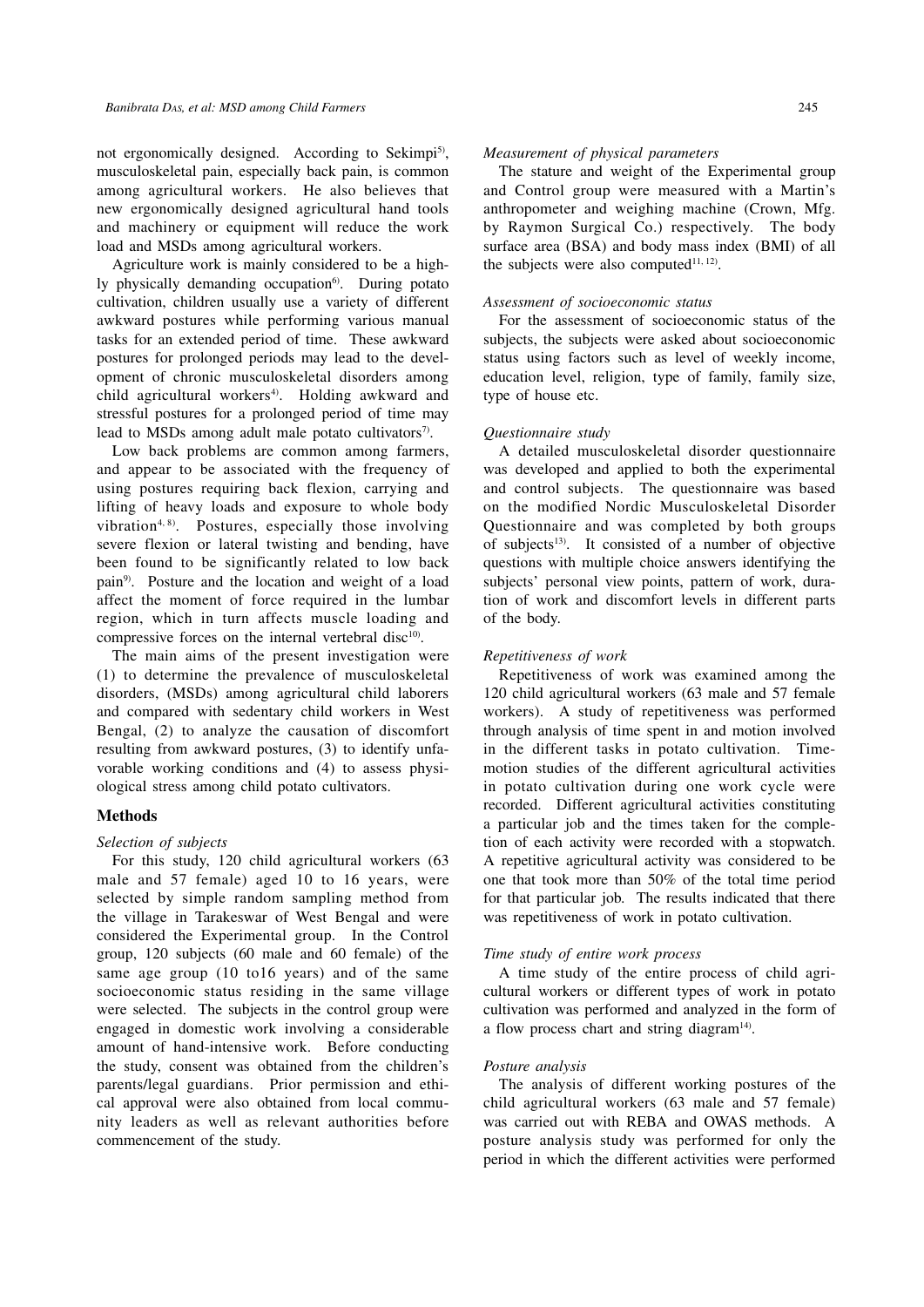not ergonomically designed. According to Sekimpi<sup>5)</sup>, musculoskeletal pain, especially back pain, is common among agricultural workers. He also believes that new ergonomically designed agricultural hand tools and machinery or equipment will reduce the work load and MSDs among agricultural workers.

Agriculture work is mainly considered to be a highly physically demanding occupation<sup>6</sup>. During potato cultivation, children usually use a variety of different awkward postures while performing various manual tasks for an extended period of time. These awkward postures for prolonged periods may lead to the development of chronic musculoskeletal disorders among child agricultural workers<sup>4</sup>. Holding awkward and stressful postures for a prolonged period of time may lead to MSDs among adult male potato cultivators<sup>7)</sup>.

Low back problems are common among farmers, and appear to be associated with the frequency of using postures requiring back flexion, carrying and lifting of heavy loads and exposure to whole body vibration<sup>4, 8)</sup>. Postures, especially those involving severe flexion or lateral twisting and bending, have been found to be significantly related to low back pain9). Posture and the location and weight of a load affect the moment of force required in the lumbar region, which in turn affects muscle loading and compressive forces on the internal vertebral disc $10$ .

The main aims of the present investigation were (1) to determine the prevalence of musculoskeletal disorders, (MSDs) among agricultural child laborers and compared with sedentary child workers in West Bengal, (2) to analyze the causation of discomfort resulting from awkward postures, (3) to identify unfavorable working conditions and (4) to assess physiological stress among child potato cultivators.

#### **Methods**

*Selection of subjects*

For this study, 120 child agricultural workers (63 male and 57 female) aged 10 to 16 years, were selected by simple random sampling method from the village in Tarakeswar of West Bengal and were considered the Experimental group. In the Control group, 120 subjects (60 male and 60 female) of the same age group (10 to16 years) and of the same socioeconomic status residing in the same village were selected. The subjects in the control group were engaged in domestic work involving a considerable amount of hand-intensive work. Before conducting the study, consent was obtained from the children's parents/legal guardians. Prior permission and ethical approval were also obtained from local community leaders as well as relevant authorities before commencement of the study.

#### *Measurement of physical parameters*

The stature and weight of the Experimental group and Control group were measured with a Martin's anthropometer and weighing machine (Crown, Mfg. by Raymon Surgical Co.) respectively. The body surface area (BSA) and body mass index (BMI) of all the subjects were also computed $11, 12$ .

#### *Assessment of socioeconomic status*

For the assessment of socioeconomic status of the subjects, the subjects were asked about socioeconomic status using factors such as level of weekly income, education level, religion, type of family, family size, type of house etc.

#### *Questionnaire study*

A detailed musculoskeletal disorder questionnaire was developed and applied to both the experimental and control subjects. The questionnaire was based on the modified Nordic Musculoskeletal Disorder Questionnaire and was completed by both groups of subjects<sup>13)</sup>. It consisted of a number of objective questions with multiple choice answers identifying the subjects' personal view points, pattern of work, duration of work and discomfort levels in different parts of the body.

#### *Repetitiveness of work*

Repetitiveness of work was examined among the 120 child agricultural workers (63 male and 57 female workers). A study of repetitiveness was performed through analysis of time spent in and motion involved in the different tasks in potato cultivation. Timemotion studies of the different agricultural activities in potato cultivation during one work cycle were recorded. Different agricultural activities constituting a particular job and the times taken for the completion of each activity were recorded with a stopwatch. A repetitive agricultural activity was considered to be one that took more than 50% of the total time period for that particular job. The results indicated that there was repetitiveness of work in potato cultivation.

### *Time study of entire work process*

A time study of the entire process of child agricultural workers or different types of work in potato cultivation was performed and analyzed in the form of a flow process chart and string diagram $14$ .

#### *Posture analysis*

The analysis of different working postures of the child agricultural workers (63 male and 57 female) was carried out with REBA and OWAS methods. A posture analysis study was performed for only the period in which the different activities were performed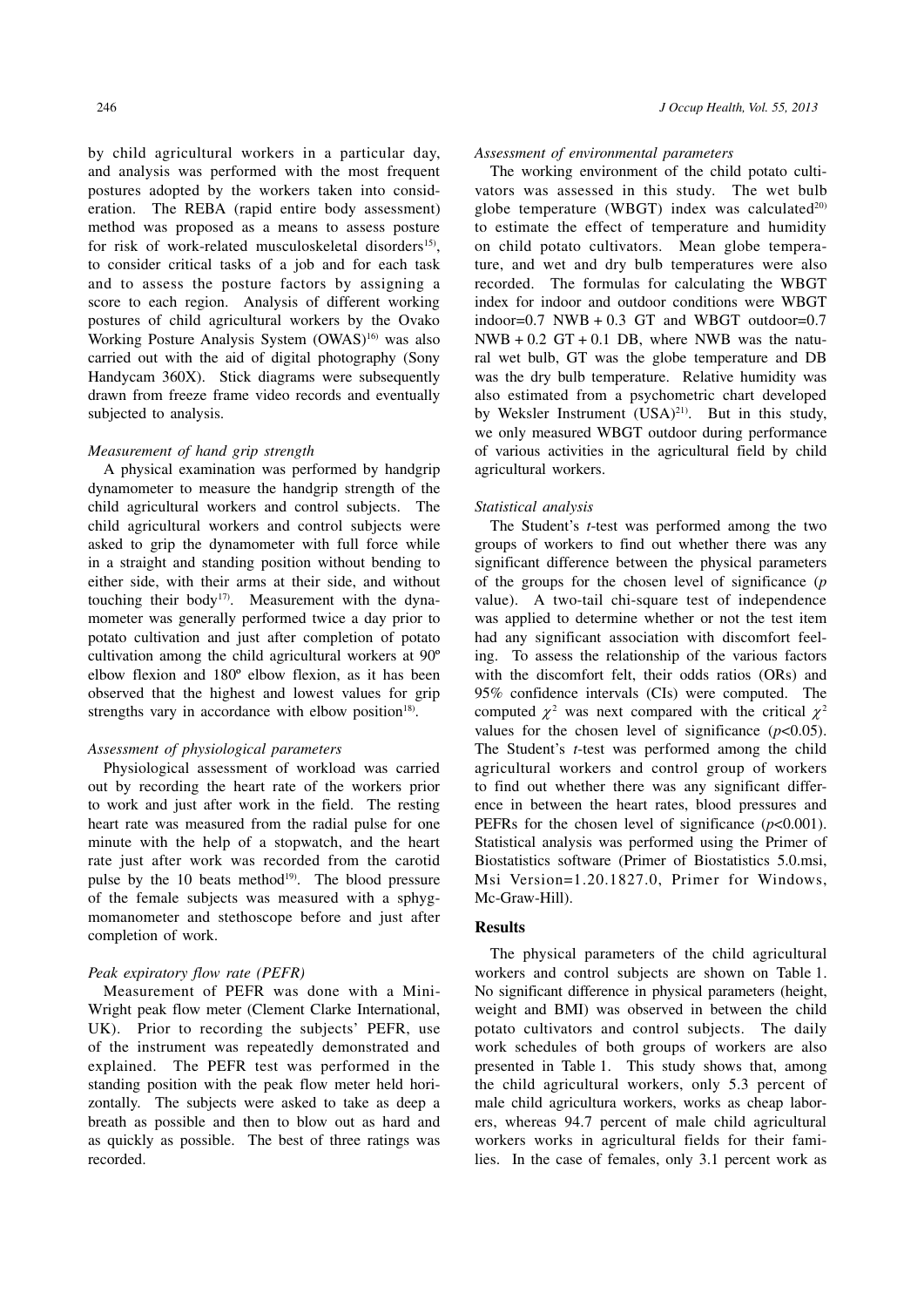by child agricultural workers in a particular day, and analysis was performed with the most frequent postures adopted by the workers taken into consideration. The REBA (rapid entire body assessment) method was proposed as a means to assess posture for risk of work-related musculoskeletal disorders<sup>15)</sup>, to consider critical tasks of a job and for each task and to assess the posture factors by assigning a score to each region. Analysis of different working postures of child agricultural workers by the Ovako Working Posture Analysis System (OWAS)<sup>16)</sup> was also carried out with the aid of digital photography (Sony Handycam 360X). Stick diagrams were subsequently drawn from freeze frame video records and eventually subjected to analysis.

#### *Measurement of hand grip strength*

A physical examination was performed by handgrip dynamometer to measure the handgrip strength of the child agricultural workers and control subjects. The child agricultural workers and control subjects were asked to grip the dynamometer with full force while in a straight and standing position without bending to either side, with their arms at their side, and without touching their body<sup>17)</sup>. Measurement with the dynamometer was generally performed twice a day prior to potato cultivation and just after completion of potato cultivation among the child agricultural workers at 90º elbow flexion and 180º elbow flexion, as it has been observed that the highest and lowest values for grip strengths vary in accordance with elbow position<sup>18)</sup>.

#### *Assessment of physiological parameters*

Physiological assessment of workload was carried out by recording the heart rate of the workers prior to work and just after work in the field. The resting heart rate was measured from the radial pulse for one minute with the help of a stopwatch, and the heart rate just after work was recorded from the carotid pulse by the  $10$  beats method<sup>19</sup>. The blood pressure of the female subjects was measured with a sphygmomanometer and stethoscope before and just after completion of work.

#### *Peak expiratory flow rate (PEFR)*

Measurement of PEFR was done with a Mini-Wright peak flow meter (Clement Clarke International, UK). Prior to recording the subjects' PEFR, use of the instrument was repeatedly demonstrated and explained. The PEFR test was performed in the standing position with the peak flow meter held horizontally. The subjects were asked to take as deep a breath as possible and then to blow out as hard and as quickly as possible. The best of three ratings was recorded.

#### *Assessment of environmental parameters*

The working environment of the child potato cultivators was assessed in this study. The wet bulb globe temperature (WBGT) index was calculated $20$ to estimate the effect of temperature and humidity on child potato cultivators. Mean globe temperature, and wet and dry bulb temperatures were also recorded. The formulas for calculating the WBGT index for indoor and outdoor conditions were WBGT indoor= $0.7$  NWB +  $0.3$  GT and WBGT outdoor= $0.7$  $NWB + 0.2 GT + 0.1 DB$ , where NWB was the natural wet bulb, GT was the globe temperature and DB was the dry bulb temperature. Relative humidity was also estimated from a psychometric chart developed by Weksler Instrument  $(USA)^{21}$ . But in this study, we only measured WBGT outdoor during performance of various activities in the agricultural field by child agricultural workers.

#### *Statistical analysis*

The Student's *t*-test was performed among the two groups of workers to find out whether there was any significant difference between the physical parameters of the groups for the chosen level of significance (*p* value). A two-tail chi-square test of independence was applied to determine whether or not the test item had any significant association with discomfort feeling. To assess the relationship of the various factors with the discomfort felt, their odds ratios (ORs) and 95% confidence intervals (CIs) were computed. The computed  $\chi^2$  was next compared with the critical  $\chi^2$ values for the chosen level of significance  $(p<0.05)$ . The Student's *t*-test was performed among the child agricultural workers and control group of workers to find out whether there was any significant difference in between the heart rates, blood pressures and PEFRs for the chosen level of significance  $(p<0.001)$ . Statistical analysis was performed using the Primer of Biostatistics software (Primer of Biostatistics 5.0.msi, Msi Version=1.20.1827.0, Primer for Windows, Mc-Graw-Hill).

## **Results**

The physical parameters of the child agricultural workers and control subjects are shown on Table 1. No significant difference in physical parameters (height, weight and BMI) was observed in between the child potato cultivators and control subjects. The daily work schedules of both groups of workers are also presented in Table 1. This study shows that, among the child agricultural workers, only 5.3 percent of male child agricultura workers, works as cheap laborers, whereas 94.7 percent of male child agricultural workers works in agricultural fields for their families. In the case of females, only 3.1 percent work as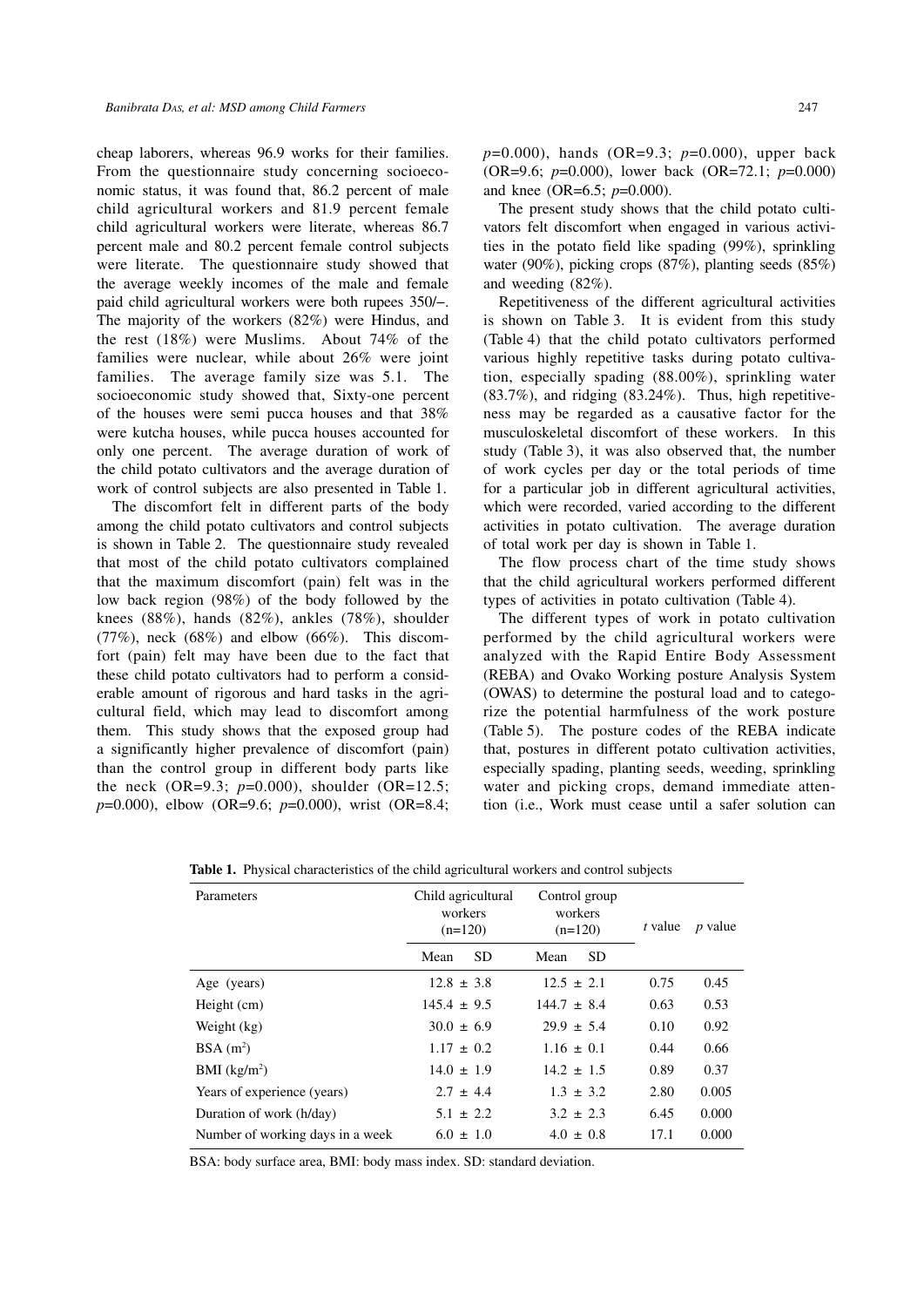cheap laborers, whereas 96.9 works for their families. From the questionnaire study concerning socioeconomic status, it was found that, 86.2 percent of male child agricultural workers and 81.9 percent female child agricultural workers were literate, whereas 86.7 percent male and 80.2 percent female control subjects were literate. The questionnaire study showed that the average weekly incomes of the male and female paid child agricultural workers were both rupees 350/−. The majority of the workers (82%) were Hindus, and the rest (18%) were Muslims. About 74% of the families were nuclear, while about 26% were joint families. The average family size was 5.1. The socioeconomic study showed that, Sixty-one percent of the houses were semi pucca houses and that 38% were kutcha houses, while pucca houses accounted for only one percent. The average duration of work of the child potato cultivators and the average duration of work of control subjects are also presented in Table 1.

The discomfort felt in different parts of the body among the child potato cultivators and control subjects is shown in Table 2. The questionnaire study revealed that most of the child potato cultivators complained that the maximum discomfort (pain) felt was in the low back region (98%) of the body followed by the knees (88%), hands (82%), ankles (78%), shoulder (77%), neck (68%) and elbow (66%). This discomfort (pain) felt may have been due to the fact that these child potato cultivators had to perform a considerable amount of rigorous and hard tasks in the agricultural field, which may lead to discomfort among them. This study shows that the exposed group had a significantly higher prevalence of discomfort (pain) than the control group in different body parts like the neck (OR=9.3; *p*=0.000), shoulder (OR=12.5; *p*=0.000), elbow (OR=9.6; *p*=0.000), wrist (OR=8.4; *p*=0.000), hands (OR=9.3; *p*=0.000), upper back (OR=9.6; *p*=0.000), lower back (OR=72.1; *p*=0.000) and knee (OR=6.5; *p*=0.000).

The present study shows that the child potato cultivators felt discomfort when engaged in various activities in the potato field like spading (99%), sprinkling water (90%), picking crops (87%), planting seeds (85%) and weeding (82%).

Repetitiveness of the different agricultural activities is shown on Table 3. It is evident from this study (Table 4) that the child potato cultivators performed various highly repetitive tasks during potato cultivation, especially spading (88.00%), sprinkling water  $(83.7\%)$ , and ridging  $(83.24\%)$ . Thus, high repetitiveness may be regarded as a causative factor for the musculoskeletal discomfort of these workers. In this study (Table 3), it was also observed that, the number of work cycles per day or the total periods of time for a particular job in different agricultural activities, which were recorded, varied according to the different activities in potato cultivation. The average duration of total work per day is shown in Table 1.

The flow process chart of the time study shows that the child agricultural workers performed different types of activities in potato cultivation (Table 4).

The different types of work in potato cultivation performed by the child agricultural workers were analyzed with the Rapid Entire Body Assessment (REBA) and Ovako Working posture Analysis System (OWAS) to determine the postural load and to categorize the potential harmfulness of the work posture (Table 5). The posture codes of the REBA indicate that, postures in different potato cultivation activities, especially spading, planting seeds, weeding, sprinkling water and picking crops, demand immediate attention (i.e., Work must cease until a safer solution can

| Parameters                       | Child agricultural<br>workers<br>$(n=120)$ | Control group<br>workers<br>$(n=120)$ | t value | <i>p</i> value |
|----------------------------------|--------------------------------------------|---------------------------------------|---------|----------------|
|                                  | <b>SD</b><br>Mean                          | <b>SD</b><br>Mean                     |         |                |
| Age (years)                      | $12.8 \pm 3.8$                             | $12.5 + 2.1$                          | 0.75    | 0.45           |
| Height (cm)                      | $145.4 \pm 9.5$                            | $144.7 + 8.4$                         | 0.63    | 0.53           |
| Weight (kg)                      | $30.0 \pm 6.9$                             | $29.9 + 5.4$                          | 0.10    | 0.92           |
| BSA(m <sup>2</sup> )             | $1.17 \pm 0.2$                             | $1.16 \pm 0.1$                        | 0.44    | 0.66           |
| BMI $(kg/m2)$                    | $14.0 \pm 1.9$                             | $14.2 \pm 1.5$                        | 0.89    | 0.37           |
| Years of experience (years)      | $2.7 \pm 4.4$                              | $1.3 \pm 3.2$                         | 2.80    | 0.005          |
| Duration of work (h/day)         | $5.1 \pm 2.2$                              | $3.2 \pm 2.3$                         | 6.45    | 0.000          |
| Number of working days in a week | $6.0 \pm 1.0$                              | $4.0 \pm 0.8$                         | 17.1    | 0.000          |

**Table 1.** Physical characteristics of the child agricultural workers and control subjects

BSA: body surface area, BMI: body mass index. SD: standard deviation.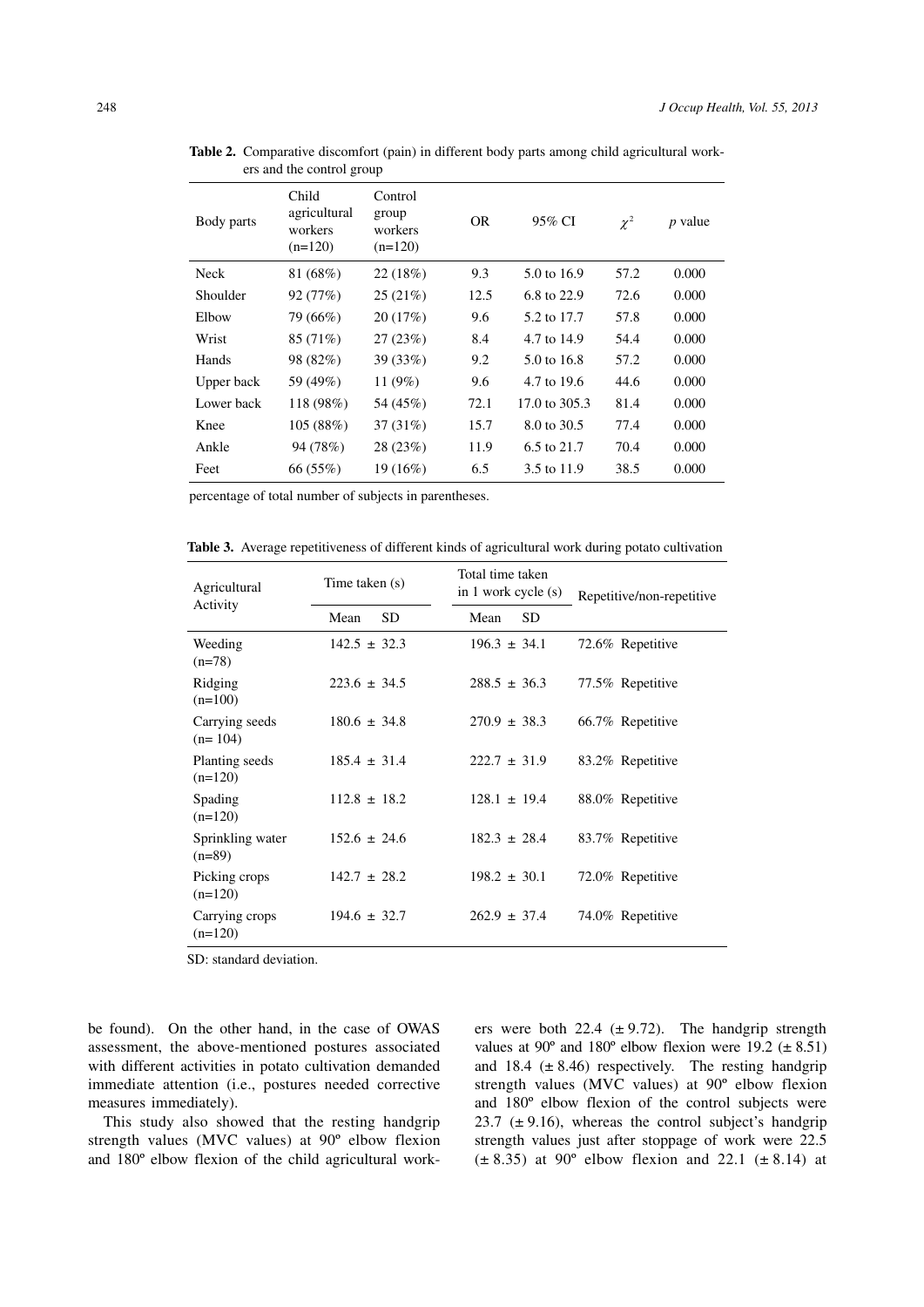| Body parts | Child<br>agricultural<br>workers<br>$(n=120)$ | Control<br>group<br>workers<br>$(n=120)$ | <b>OR</b> | 95% CI        | $\chi^2$ | $p$ value |
|------------|-----------------------------------------------|------------------------------------------|-----------|---------------|----------|-----------|
| Neck       | 81 (68%)                                      | 22(18%)                                  | 9.3       | 5.0 to 16.9   | 57.2     | 0.000     |
| Shoulder   | 92 (77%)                                      | 25(21%)                                  | 12.5      | 6.8 to 22.9   | 72.6     | 0.000     |
| Elbow      | 79 (66%)                                      | 20(17%)                                  | 9.6       | 5.2 to 17.7   | 57.8     | 0.000     |
| Wrist      | 85 (71%)                                      | 27(23%)                                  | 8.4       | 4.7 to 14.9   | 54.4     | 0.000     |
| Hands      | 98 (82%)                                      | 39(33%)                                  | 9.2       | 5.0 to 16.8   | 57.2     | 0.000     |
| Upper back | 59 (49%)                                      | 11 $(9%)$                                | 9.6       | 4.7 to 19.6   | 44.6     | 0.000     |
| Lower back | 118 (98%)                                     | 54 (45%)                                 | 72.1      | 17.0 to 305.3 | 81.4     | 0.000     |
| Knee       | 105(88%)                                      | 37(31%)                                  | 15.7      | 8.0 to 30.5   | 77.4     | 0.000     |
| Ankle      | 94 (78%)                                      | 28(23%)                                  | 11.9      | 6.5 to 21.7   | 70.4     | 0.000     |
| Feet       | 66 (55%)                                      | $19(16\%)$                               | 6.5       | 3.5 to 11.9   | 38.5     | 0.000     |

**Table 2.** Comparative discomfort (pain) in different body parts among child agricultural workers and the control group

percentage of total number of subjects in parentheses.

**Table 3.** Average repetitiveness of different kinds of agricultural work during potato cultivation

| Agricultural<br>Activity     | Time taken (s)    | Total time taken<br>in 1 work cycle $(s)$ | Repetitive/non-repetitive |  |  |
|------------------------------|-------------------|-------------------------------------------|---------------------------|--|--|
|                              | <b>SD</b><br>Mean | <b>SD</b><br>Mean                         |                           |  |  |
| Weeding<br>$(n=78)$          | $142.5 \pm 32.3$  | $196.3 \pm 34.1$                          | 72.6% Repetitive          |  |  |
| Ridging<br>$(n=100)$         | $223.6 \pm 34.5$  | $288.5 \pm 36.3$                          | 77.5% Repetitive          |  |  |
| Carrying seeds<br>$(n=104)$  | $180.6 \pm 34.8$  | $270.9 \pm 38.3$                          | 66.7% Repetitive          |  |  |
| Planting seeds<br>$(n=120)$  | $185.4 \pm 31.4$  | $222.7 \pm 31.9$                          | 83.2% Repetitive          |  |  |
| Spading<br>$(n=120)$         | $112.8 \pm 18.2$  | $128.1 \pm 19.4$                          | 88.0% Repetitive          |  |  |
| Sprinkling water<br>$(n=89)$ | $152.6 \pm 24.6$  | $182.3 \pm 28.4$                          | 83.7% Repetitive          |  |  |
| Picking crops<br>$(n=120)$   | $142.7 \pm 28.2$  | $198.2 \pm 30.1$                          | 72.0% Repetitive          |  |  |
| Carrying crops<br>$(n=120)$  | $194.6 \pm 32.7$  | $262.9 \pm 37.4$                          | 74.0% Repetitive          |  |  |

SD: standard deviation.

be found). On the other hand, in the case of OWAS assessment, the above-mentioned postures associated with different activities in potato cultivation demanded immediate attention (i.e., postures needed corrective measures immediately).

This study also showed that the resting handgrip strength values (MVC values) at 90º elbow flexion and 180º elbow flexion of the child agricultural workers were both 22.4  $(\pm 9.72)$ . The handgrip strength values at 90 $^{\circ}$  and 180 $^{\circ}$  elbow flexion were 19.2 ( $\pm$  8.51) and 18.4 ( $\pm$  8.46) respectively. The resting handgrip strength values (MVC values) at 90º elbow flexion and 180º elbow flexion of the control subjects were 23.7 ( $\pm$  9.16), whereas the control subject's handgrip strength values just after stoppage of work were 22.5  $(\pm 8.35)$  at 90° elbow flexion and 22.1 ( $\pm 8.14$ ) at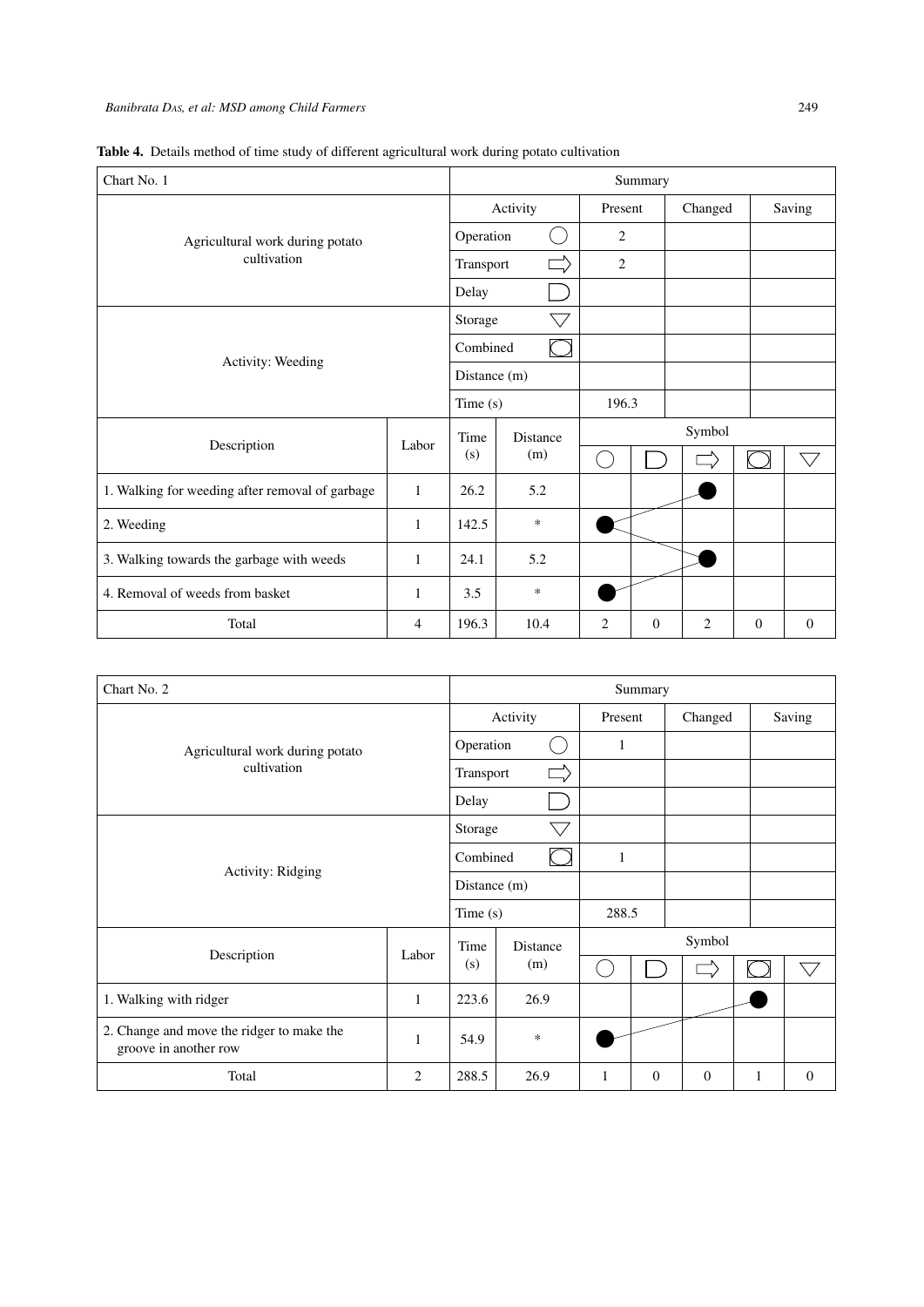| Chart No. 1                                     |              |              | ັ້                     |                | Summary      |         |                |                    |
|-------------------------------------------------|--------------|--------------|------------------------|----------------|--------------|---------|----------------|--------------------|
|                                                 |              |              | Activity               | Present        |              | Changed |                | Saving             |
| Agricultural work during potato                 |              | Operation    |                        | $\overline{c}$ |              |         |                |                    |
| cultivation                                     |              | Transport    | $\Rightarrow$          | $\overline{c}$ |              |         |                |                    |
|                                                 |              | Delay        |                        |                |              |         |                |                    |
|                                                 |              | Storage      | $\bigtriangledown$     |                |              |         |                |                    |
| Activity: Weeding                               |              |              | $\bigcirc$<br>Combined |                |              |         |                |                    |
|                                                 |              | Distance (m) |                        |                |              |         |                |                    |
|                                                 |              | Time(s)      |                        | 196.3          |              |         |                |                    |
| Description                                     | Labor        | Time         | Distance               |                |              | Symbol  |                |                    |
|                                                 |              | (s)          | (m)                    |                |              | 一       |                | $\bigtriangledown$ |
| 1. Walking for weeding after removal of garbage | $\mathbf{1}$ | 26.2         | 5.2                    |                |              |         |                |                    |
| 2. Weeding                                      | 1            | 142.5        | $\ast$                 |                |              |         |                |                    |
| 3. Walking towards the garbage with weeds       | $\mathbf{1}$ | 24.1         | 5.2                    |                |              |         |                |                    |
| 4. Removal of weeds from basket                 | $\mathbf{1}$ | 3.5          | $\ast$                 |                |              |         |                |                    |
| Total                                           | 4            | 196.3        | 10.4                   | $\overline{c}$ | $\mathbf{0}$ | 2       | $\overline{0}$ | $\mathbf{0}$       |

| Chart No. 2                                                        |              |                          | Summary               |              |          |          |   |          |  |  |  |
|--------------------------------------------------------------------|--------------|--------------------------|-----------------------|--------------|----------|----------|---|----------|--|--|--|
|                                                                    |              |                          | Activity              | Present      |          | Changed  |   | Saving   |  |  |  |
| Agricultural work during potato                                    |              | Operation                |                       | 1            |          |          |   |          |  |  |  |
| cultivation                                                        |              | Transport                |                       |              |          |          |   |          |  |  |  |
|                                                                    | Delay        |                          |                       |              |          |          |   |          |  |  |  |
|                                                                    | Storage      | $\overline{\phantom{a}}$ |                       |              |          |          |   |          |  |  |  |
|                                                                    |              |                          | $\subset$<br>Combined |              |          |          |   |          |  |  |  |
| Activity: Ridging                                                  |              | Distance (m)             |                       |              |          |          |   |          |  |  |  |
|                                                                    |              | Time(s)                  |                       | 288.5        |          |          |   |          |  |  |  |
|                                                                    |              | Time                     | Distance              | Symbol       |          |          |   |          |  |  |  |
| Description                                                        | Labor        | (s)                      | (m)                   |              |          |          |   | ▽        |  |  |  |
| 1. Walking with ridger                                             | 1            | 223.6                    | 26.9                  |              |          |          |   |          |  |  |  |
| 2. Change and move the ridger to make the<br>groove in another row | $\mathbf{1}$ | 54.9                     | $\ast$                |              |          |          |   |          |  |  |  |
| Total                                                              | 2            | 288.5                    | 26.9                  | $\mathbf{1}$ | $\Omega$ | $\theta$ | 1 | $\Omega$ |  |  |  |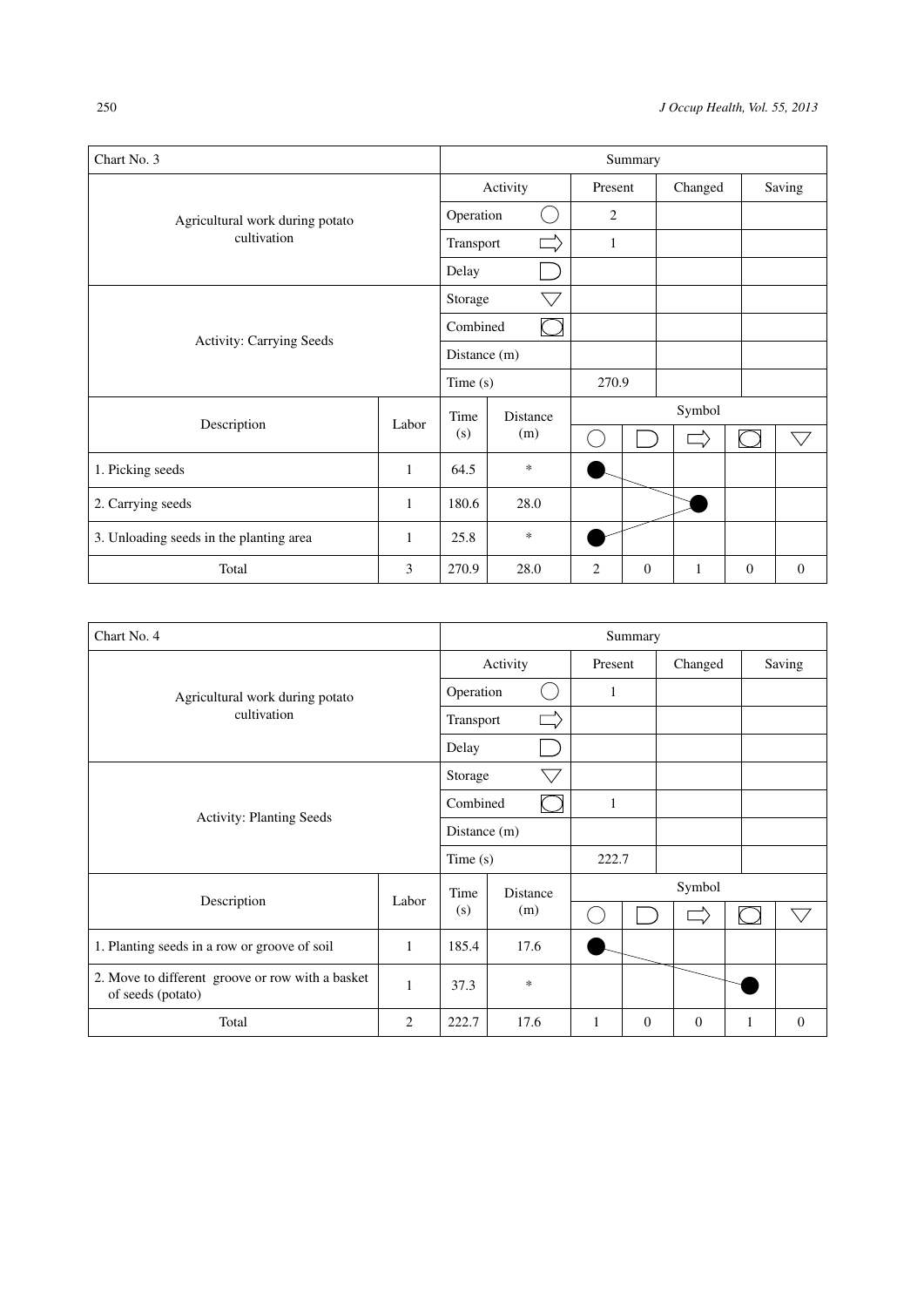| Chart No. 3                             |              |               |                    |              | Summary        |                |              |                    |
|-----------------------------------------|--------------|---------------|--------------------|--------------|----------------|----------------|--------------|--------------------|
|                                         |              |               | Activity           | Present      |                | Changed        |              | Saving             |
| Agricultural work during potato         |              | Operation     |                    | $\mathbf{2}$ |                |                |              |                    |
| cultivation                             |              |               | Transport          |              |                |                |              |                    |
|                                         |              | Delay         |                    |              |                |                |              |                    |
|                                         |              | Storage       | $\bigtriangledown$ |              |                |                |              |                    |
| Activity: Carrying Seeds                |              | Combined      | $\subset$          |              |                |                |              |                    |
|                                         |              | Distance (m)  |                    |              |                |                |              |                    |
|                                         |              | Time(s)       |                    | 270.9        |                |                |              |                    |
|                                         | Labor        | Time          | Distance           |              |                | Symbol         |              |                    |
| Description                             |              | (s)           | (m)                |              |                | $\overline{-}$ |              | $\bigtriangledown$ |
| 1. Picking seeds                        | 1            | 64.5          | $\ast$             |              |                |                |              |                    |
| 2. Carrying seeds                       | $\mathbf{1}$ | 180.6<br>28.0 |                    |              |                |                |              |                    |
| 3. Unloading seeds in the planting area | 1            | 25.8          | $\ast$             |              |                |                |              |                    |
| Total                                   | 3            | 270.9         | 28.0               | 2            | $\overline{0}$ | $\mathbf{1}$   | $\mathbf{0}$ | $\overline{0}$     |

| Chart No. 4                                                           |              |              |               |       |              | Summary  |          |   |                          |
|-----------------------------------------------------------------------|--------------|--------------|---------------|-------|--------------|----------|----------|---|--------------------------|
|                                                                       |              | Activity     |               |       | Present      |          | Changed  |   | Saving                   |
| Agricultural work during potato                                       |              | Operation    |               |       | 1            |          |          |   |                          |
| cultivation                                                           |              | Transport    |               |       |              |          |          |   |                          |
|                                                                       |              | Delay        |               |       |              |          |          |   |                          |
|                                                                       |              | Storage      |               | ▽     |              |          |          |   |                          |
|                                                                       |              |              | C<br>Combined |       | $\mathbf{1}$ |          |          |   |                          |
| <b>Activity: Planting Seeds</b>                                       |              | Distance (m) |               |       |              |          |          |   |                          |
|                                                                       |              | Time(s)      |               | 222.7 |              |          |          |   |                          |
|                                                                       | Labor        | Time         | Distance      |       |              |          | Symbol   |   |                          |
| Description                                                           |              | (s)          | (m)           |       |              |          |          |   | $\overline{\phantom{0}}$ |
| 1. Planting seeds in a row or groove of soil                          | $\mathbf{1}$ | 185.4        | 17.6          |       |              |          |          |   |                          |
| 2. Move to different groove or row with a basket<br>of seeds (potato) | $\mathbf{1}$ | 37.3         | $\ast$        |       |              |          |          |   |                          |
| Total                                                                 | 2            | 222.7        | 17.6          |       | 1            | $\theta$ | $\theta$ | 1 | $\Omega$                 |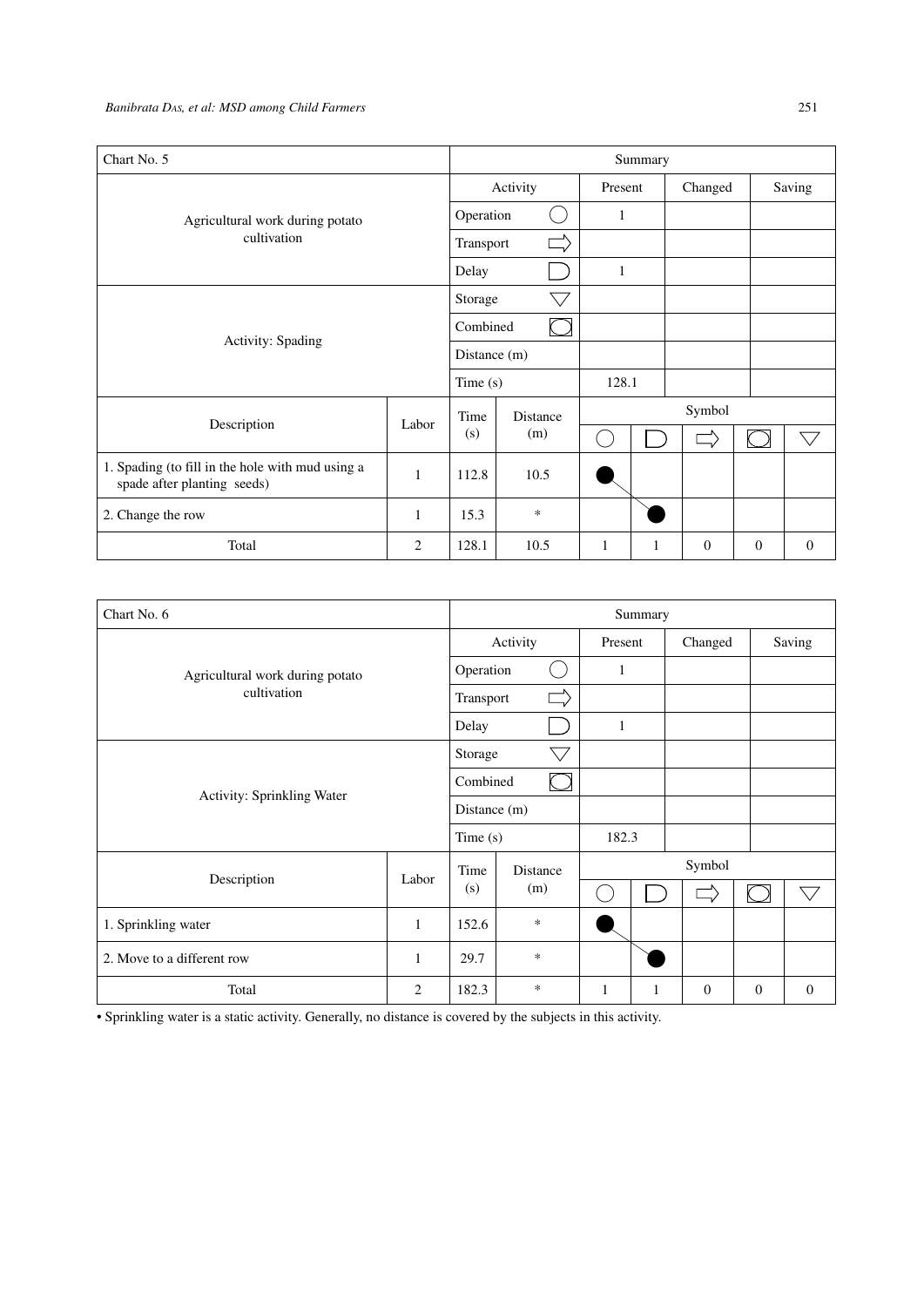## *Banibrata DAS, et al: MSD among Child Farmers* 251

| Chart No. 5                                                                     |              |              |              |              |              | Summary |              |          |                          |
|---------------------------------------------------------------------------------|--------------|--------------|--------------|--------------|--------------|---------|--------------|----------|--------------------------|
|                                                                                 |              |              | Activity     |              | Present      |         | Changed      |          | Saving                   |
| Agricultural work during potato                                                 |              | Operation    |              |              | $\mathbf{1}$ |         |              |          |                          |
| cultivation                                                                     |              |              | Transport    |              |              |         |              |          |                          |
|                                                                                 |              | Delay        |              | $\mathbf{1}$ |              |         |              |          |                          |
|                                                                                 |              |              | Storage<br>▽ |              |              |         |              |          |                          |
|                                                                                 |              |              | Combined     |              |              |         |              |          |                          |
| Activity: Spading                                                               |              | Distance (m) |              |              |              |         |              |          |                          |
|                                                                                 |              | Time(s)      |              |              | 128.1        |         |              |          |                          |
|                                                                                 | Labor        | Time         | Distance     |              |              |         | Symbol       |          |                          |
| Description                                                                     |              | (s)          | (m)          |              |              |         |              |          | $\overline{\phantom{a}}$ |
| 1. Spading (to fill in the hole with mud using a<br>spade after planting seeds) | $\mathbf{1}$ | 112.8        | 10.5         |              |              |         |              |          |                          |
| 2. Change the row                                                               | 1            | 15.3         | $\ast$       |              |              |         |              |          |                          |
| Total                                                                           | 2            | 128.1        | 10.5         |              | 1            | 1       | $\mathbf{0}$ | $\Omega$ | $\Omega$                 |

| Chart No. 6                     |              |                       |              |       |              | Summary |              |          |              |
|---------------------------------|--------------|-----------------------|--------------|-------|--------------|---------|--------------|----------|--------------|
|                                 |              | Activity              |              |       | Present      |         | Changed      |          | Saving       |
| Agricultural work during potato |              | Operation             |              |       | 1            |         |              |          |              |
| cultivation                     |              | Transport             |              |       |              |         |              |          |              |
|                                 | Delay        |                       | $\mathbf{1}$ |       |              |         |              |          |              |
|                                 |              | Storage               |              | ▽     |              |         |              |          |              |
|                                 |              | $\subset$<br>Combined |              |       |              |         |              |          |              |
| Activity: Sprinkling Water      |              | Distance (m)          |              |       |              |         |              |          |              |
|                                 |              | Time(s)               |              | 182.3 |              |         |              |          |              |
|                                 | Labor        | Time                  | Distance     |       |              |         | Symbol       |          |              |
| Description                     |              | (s)                   | (m)          |       |              |         |              |          | ▽            |
| 1. Sprinkling water             | $\mathbf{1}$ | 152.6                 | $\ast$       |       |              |         |              |          |              |
| 2. Move to a different row      | 1            | 29.7                  | $\ast$       |       |              |         |              |          |              |
| Total                           | 2            | 182.3                 | ∗            |       | $\mathbf{1}$ | 1       | $\mathbf{0}$ | $\Omega$ | $\mathbf{0}$ |

• Sprinkling water is a static activity. Generally, no distance is covered by the subjects in this activity.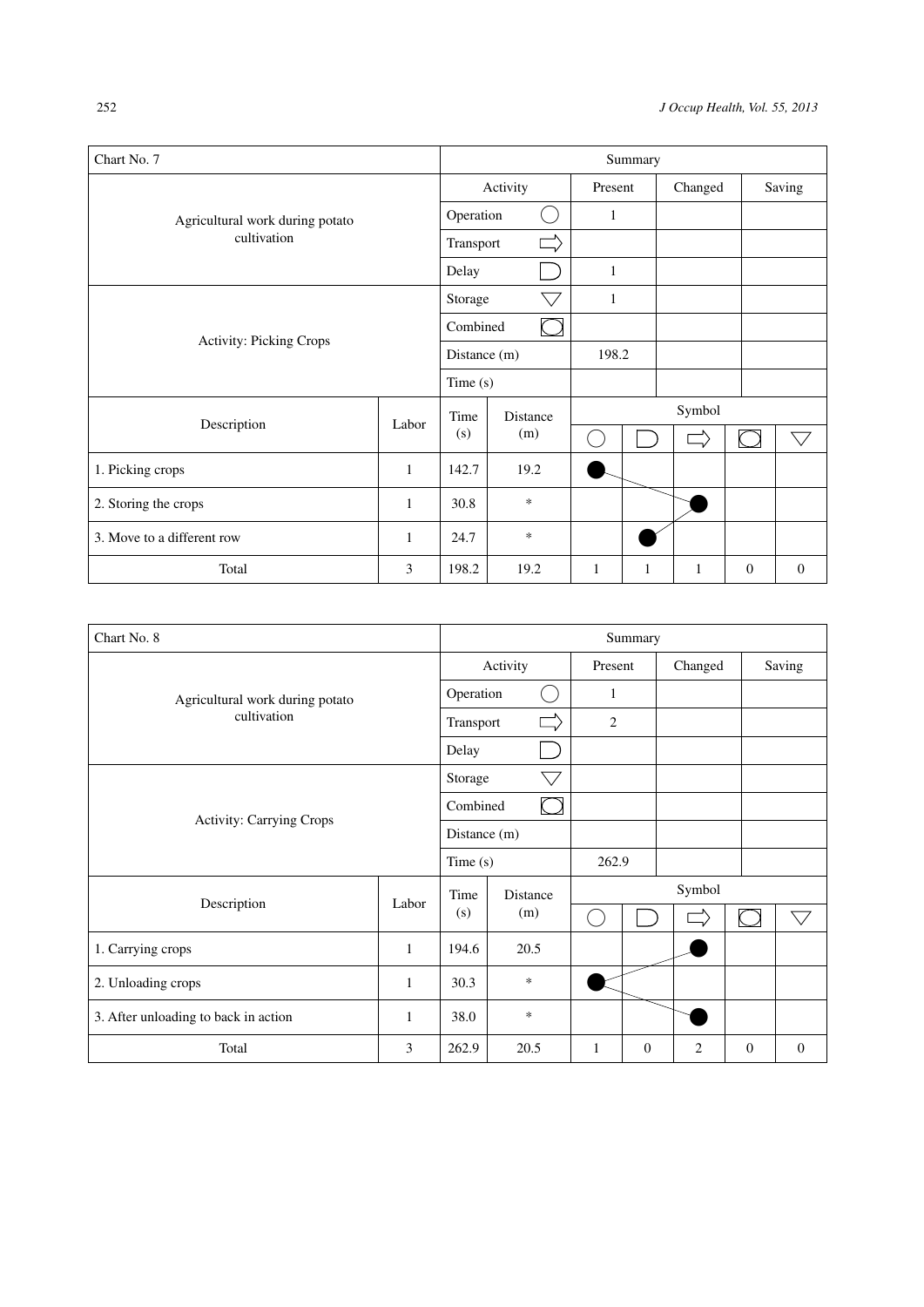| Chart No. 7                     |              |                |                    |              | Summary |                          |              |                    |
|---------------------------------|--------------|----------------|--------------------|--------------|---------|--------------------------|--------------|--------------------|
|                                 |              |                | Activity           | Present      |         | Changed                  |              | Saving             |
| Agricultural work during potato |              | Operation      |                    | $\mathbf{1}$ |         |                          |              |                    |
| cultivation                     |              | Transport      |                    |              |         |                          |              |                    |
|                                 |              | Delay          |                    | $\mathbf{1}$ |         |                          |              |                    |
|                                 |              | Storage        | $\bigtriangledown$ | $\mathbf{1}$ |         |                          |              |                    |
|                                 |              | Combined       | $\subset$          |              |         |                          |              |                    |
| Activity: Picking Crops         |              |                | Distance (m)       | 198.2        |         |                          |              |                    |
|                                 |              | Time(s)        |                    |              |         |                          |              |                    |
|                                 |              | Time           | Distance           |              |         | Symbol                   |              |                    |
| Description                     | Labor        | (s)            | (m)                |              |         | $\overline{\phantom{a}}$ |              | $\bigtriangledown$ |
| 1. Picking crops                | 1            | 142.7          | 19.2               |              |         |                          |              |                    |
| 2. Storing the crops            | $\mathbf{1}$ | $\ast$<br>30.8 |                    |              |         |                          |              |                    |
| 3. Move to a different row      | 1            | 24.7           | $\ast$             |              |         |                          |              |                    |
| Total                           | 3            | 198.2          | 19.2               | 1            | 1       | $\mathbf{1}$             | $\mathbf{0}$ | $\overline{0}$     |

| Chart No. 8                          |              |              |                    |              | Summary        |                          |              |                    |
|--------------------------------------|--------------|--------------|--------------------|--------------|----------------|--------------------------|--------------|--------------------|
|                                      |              |              | Activity           | Present      |                | Changed                  |              | Saving             |
| Agricultural work during potato      |              | Operation    |                    | 1            |                |                          |              |                    |
| cultivation                          |              | Transport    |                    | $\mathbf{2}$ |                |                          |              |                    |
|                                      |              | Delay        |                    |              |                |                          |              |                    |
|                                      |              | Storage      | $\bigtriangledown$ |              |                |                          |              |                    |
| Activity: Carrying Crops             |              | Combined     | $\subset$          |              |                |                          |              |                    |
|                                      |              | Distance (m) |                    |              |                |                          |              |                    |
|                                      |              | Time(s)      |                    | 262.9        |                |                          |              |                    |
| Description                          | Labor        | Time         | Distance           |              |                | Symbol                   |              |                    |
|                                      |              | (s)          | (m)                |              |                | $\overline{\phantom{a}}$ |              | $\bigtriangledown$ |
| 1. Carrying crops                    | $\mathbf{1}$ | 194.6        | 20.5               |              |                |                          |              |                    |
| 2. Unloading crops                   | 1            | 30.3         | $\ast$             |              |                |                          |              |                    |
| 3. After unloading to back in action | 1            | 38.0         | $\ast$             |              |                |                          |              |                    |
| Total                                | 3            | 262.9        | 20.5               | 1            | $\overline{0}$ | 2                        | $\mathbf{0}$ | $\overline{0}$     |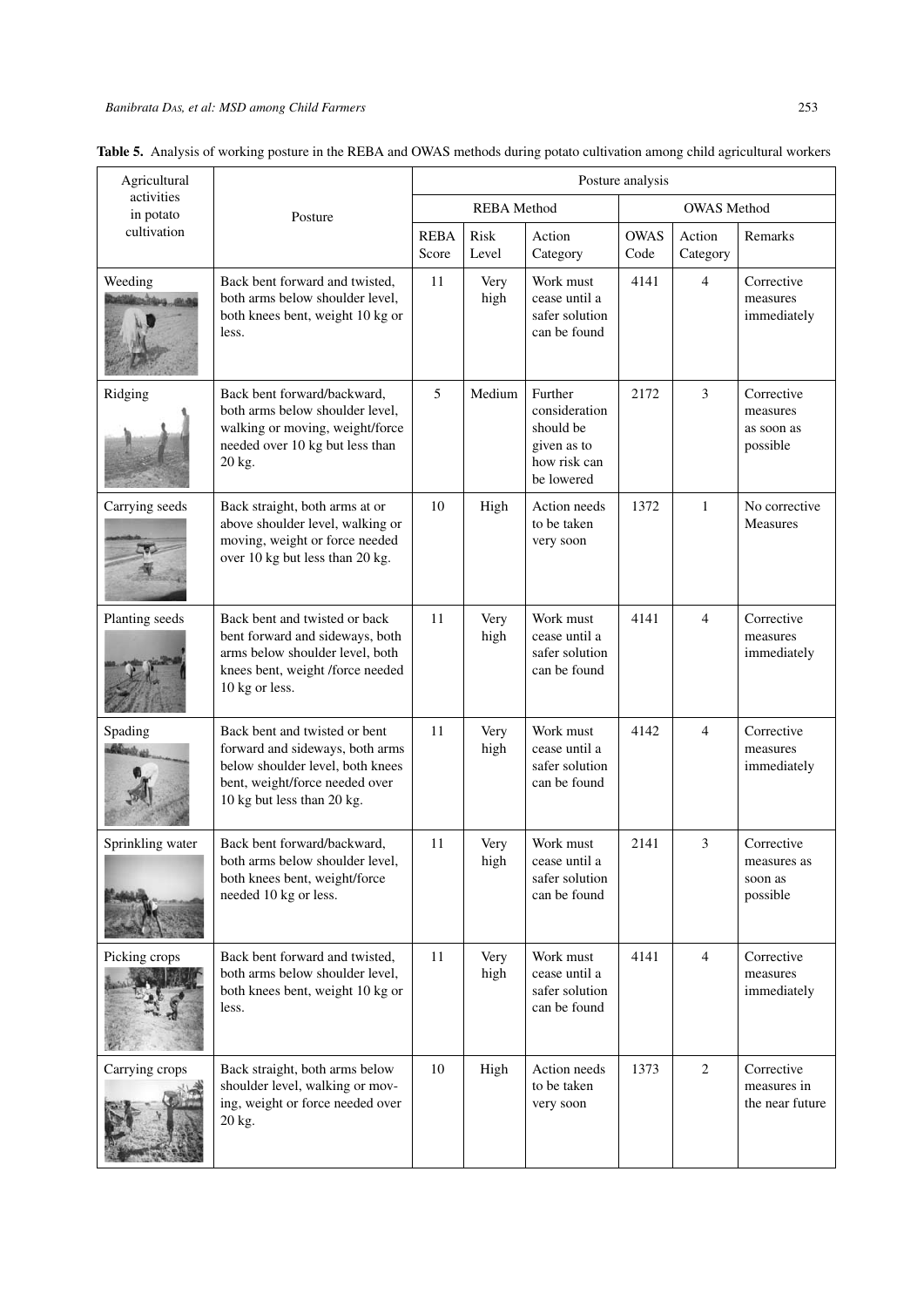|  |  | Table 5. Analysis of working posture in the REBA and OWAS methods during potato cultivation among child agricultural workers |  |  |  |  |  |  |  |  |
|--|--|------------------------------------------------------------------------------------------------------------------------------|--|--|--|--|--|--|--|--|
|--|--|------------------------------------------------------------------------------------------------------------------------------|--|--|--|--|--|--|--|--|

| Agricultural            | Posture                                                                                                                                                              | Posture analysis     |                    |                                                                                    |                     |                    |                                                  |  |  |
|-------------------------|----------------------------------------------------------------------------------------------------------------------------------------------------------------------|----------------------|--------------------|------------------------------------------------------------------------------------|---------------------|--------------------|--------------------------------------------------|--|--|
| activities<br>in potato |                                                                                                                                                                      |                      | <b>REBA</b> Method |                                                                                    | <b>OWAS</b> Method  |                    |                                                  |  |  |
| cultivation             |                                                                                                                                                                      | <b>REBA</b><br>Score | Risk<br>Level      | Action<br>Category                                                                 | <b>OWAS</b><br>Code | Action<br>Category | Remarks                                          |  |  |
| Weeding                 | Back bent forward and twisted.<br>both arms below shoulder level,<br>both knees bent, weight 10 kg or<br>less.                                                       | 11                   | Very<br>high       | Work must<br>cease until a<br>safer solution<br>can be found                       | 4141                | $\overline{4}$     | Corrective<br>measures<br>immediately            |  |  |
| Ridging                 | Back bent forward/backward,<br>both arms below shoulder level,<br>walking or moving, weight/force<br>needed over 10 kg but less than<br>20 kg.                       | 5                    | Medium             | Further<br>consideration<br>should be<br>given as to<br>how risk can<br>be lowered | 2172                | 3                  | Corrective<br>measures<br>as soon as<br>possible |  |  |
| Carrying seeds          | Back straight, both arms at or<br>above shoulder level, walking or<br>moving, weight or force needed<br>over 10 kg but less than 20 kg.                              | 10                   | High               | Action needs<br>to be taken<br>very soon                                           | 1372                | $\mathbf{1}$       | No corrective<br><b>Measures</b>                 |  |  |
| Planting seeds          | Back bent and twisted or back<br>bent forward and sideways, both<br>arms below shoulder level, both<br>knees bent, weight /force needed<br>10 kg or less.            | 11                   | Very<br>high       | Work must<br>cease until a<br>safer solution<br>can be found                       | 4141                | $\overline{4}$     | Corrective<br>measures<br>immediately            |  |  |
| Spading                 | Back bent and twisted or bent<br>forward and sideways, both arms<br>below shoulder level, both knees<br>bent, weight/force needed over<br>10 kg but less than 20 kg. | 11                   | Very<br>high       | Work must<br>cease until a<br>safer solution<br>can be found                       | 4142                | $\overline{4}$     | Corrective<br>measures<br>immediately            |  |  |
| Sprinkling water        | Back bent forward/backward,<br>both arms below shoulder level,<br>both knees bent, weight/force<br>needed 10 kg or less.                                             | 11                   | Very<br>high       | Work must<br>cease until a<br>safer solution<br>can be found                       | 2141                | 3                  | Corrective<br>measures as<br>soon as<br>possible |  |  |
| Picking crops           | Back bent forward and twisted,<br>both arms below shoulder level,<br>both knees bent, weight 10 kg or<br>less.                                                       | 11                   | Very<br>high       | Work must<br>cease until a<br>safer solution<br>can be found                       | 4141                | $\overline{4}$     | Corrective<br>measures<br>immediately            |  |  |
| Carrying crops          | Back straight, both arms below<br>shoulder level, walking or mov-<br>ing, weight or force needed over<br>20 kg.                                                      | 10                   | High               | Action needs<br>to be taken<br>very soon                                           | 1373                | 2                  | Corrective<br>measures in<br>the near future     |  |  |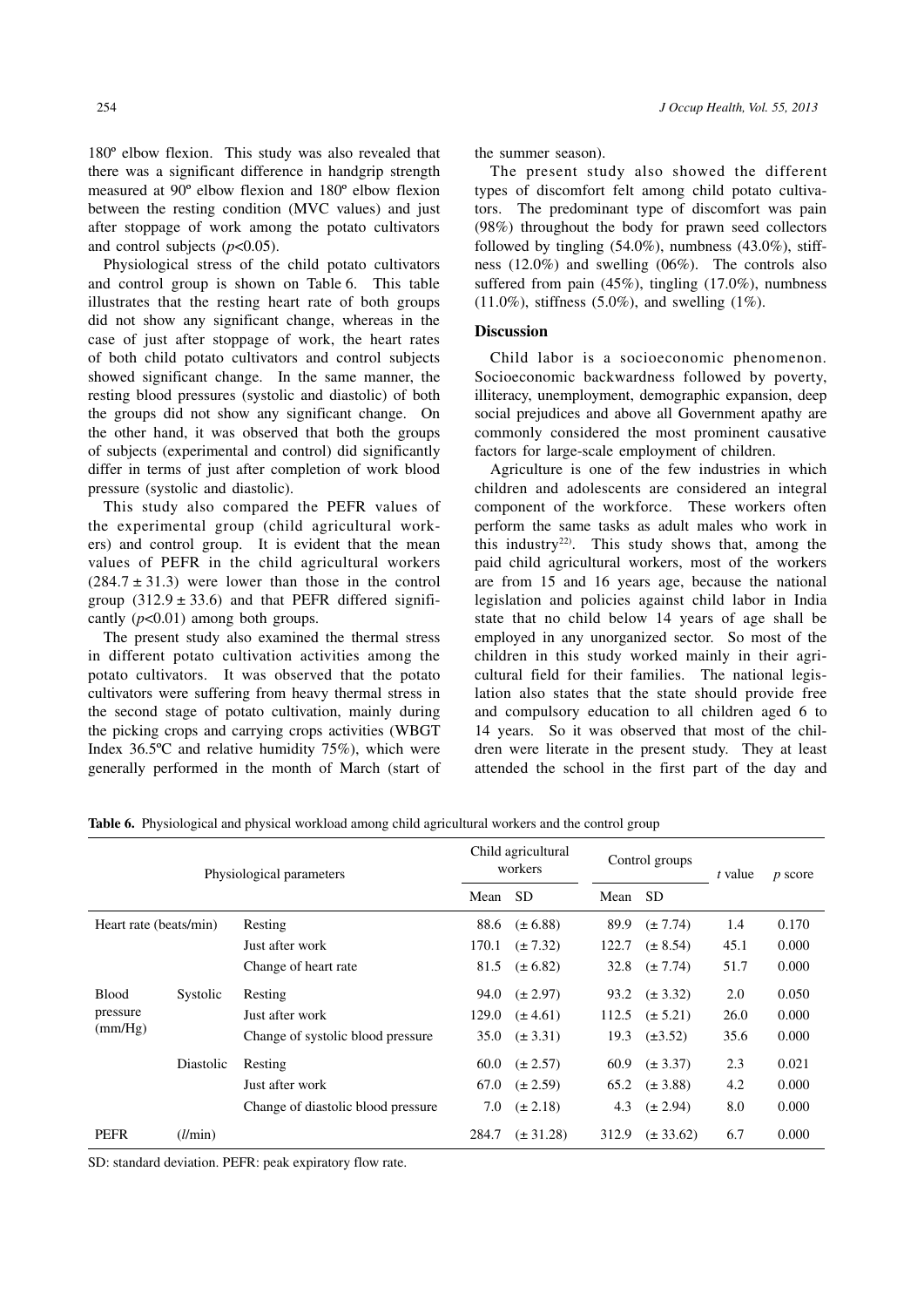180º elbow flexion. This study was also revealed that there was a significant difference in handgrip strength measured at 90º elbow flexion and 180º elbow flexion between the resting condition (MVC values) and just after stoppage of work among the potato cultivators and control subjects (*p*<0.05).

Physiological stress of the child potato cultivators and control group is shown on Table 6. This table illustrates that the resting heart rate of both groups did not show any significant change, whereas in the case of just after stoppage of work, the heart rates of both child potato cultivators and control subjects showed significant change. In the same manner, the resting blood pressures (systolic and diastolic) of both the groups did not show any significant change. On the other hand, it was observed that both the groups of subjects (experimental and control) did significantly differ in terms of just after completion of work blood pressure (systolic and diastolic).

This study also compared the PEFR values of the experimental group (child agricultural workers) and control group. It is evident that the mean values of PEFR in the child agricultural workers  $(284.7 \pm 31.3)$  were lower than those in the control group  $(312.9 \pm 33.6)$  and that PEFR differed significantly  $(p<0.01)$  among both groups.

The present study also examined the thermal stress in different potato cultivation activities among the potato cultivators. It was observed that the potato cultivators were suffering from heavy thermal stress in the second stage of potato cultivation, mainly during the picking crops and carrying crops activities (WBGT Index 36.5ºC and relative humidity 75%), which were generally performed in the month of March (start of the summer season).

The present study also showed the different types of discomfort felt among child potato cultivators. The predominant type of discomfort was pain (98%) throughout the body for prawn seed collectors followed by tingling (54.0%), numbness (43.0%), stiffness (12.0%) and swelling (06%). The controls also suffered from pain (45%), tingling (17.0%), numbness  $(11.0\%)$ , stiffness  $(5.0\%)$ , and swelling  $(1\%)$ .

## **Discussion**

Child labor is a socioeconomic phenomenon. Socioeconomic backwardness followed by poverty, illiteracy, unemployment, demographic expansion, deep social prejudices and above all Government apathy are commonly considered the most prominent causative factors for large-scale employment of children.

Agriculture is one of the few industries in which children and adolescents are considered an integral component of the workforce. These workers often perform the same tasks as adult males who work in this industry<sup>22)</sup>. This study shows that, among the paid child agricultural workers, most of the workers are from 15 and 16 years age, because the national legislation and policies against child labor in India state that no child below 14 years of age shall be employed in any unorganized sector. So most of the children in this study worked mainly in their agricultural field for their families. The national legislation also states that the state should provide free and compulsory education to all children aged 6 to 14 years. So it was observed that most of the children were literate in the present study. They at least attended the school in the first part of the day and

| Physiological parameters |           |                                    | Child agricultural<br>workers |               | Control groups |               | t value | $p$ score |
|--------------------------|-----------|------------------------------------|-------------------------------|---------------|----------------|---------------|---------|-----------|
|                          |           |                                    | Mean                          | <b>SD</b>     | Mean           | SD.           |         |           |
| Heart rate (beats/min)   |           | Resting                            | 88.6                          | $(\pm 6.88)$  | 89.9           | $(\pm 7.74)$  | 1.4     | 0.170     |
|                          |           | Just after work                    | 170.1                         | $(\pm 7.32)$  | 122.7          | $(\pm 8.54)$  | 45.1    | 0.000     |
|                          |           | Change of heart rate               | 81.5                          | $(\pm 6.82)$  | 32.8           | $(\pm 7.74)$  | 51.7    | 0.000     |
| <b>Blood</b>             | Systolic  | Resting                            | 94.0                          | $(\pm 2.97)$  | 93.2           | $(\pm 3.32)$  | 2.0     | 0.050     |
| pressure                 |           | Just after work                    | 129.0                         | $(\pm 4.61)$  | 112.5          | $(\pm 5.21)$  | 26.0    | 0.000     |
| (mm/Hg)                  |           | Change of systolic blood pressure  | 35.0                          | $(\pm 3.31)$  | 19.3           | $(\pm 3.52)$  | 35.6    | 0.000     |
|                          | Diastolic | Resting                            | 60.0                          | $(\pm 2.57)$  | 60.9           | $(\pm 3.37)$  | 2.3     | 0.021     |
|                          |           | Just after work                    | 67.0                          | $(\pm 2.59)$  | 65.2           | $(\pm 3.88)$  | 4.2     | 0.000     |
|                          |           | Change of diastolic blood pressure | 7.0                           | $(\pm 2.18)$  | 4.3            | $(\pm 2.94)$  | 8.0     | 0.000     |
| <b>PEFR</b>              | (l/min)   |                                    | 284.7                         | $(\pm 31.28)$ | 312.9          | $(\pm 33.62)$ | 6.7     | 0.000     |

**Table 6.** Physiological and physical workload among child agricultural workers and the control group

SD: standard deviation. PEFR: peak expiratory flow rate.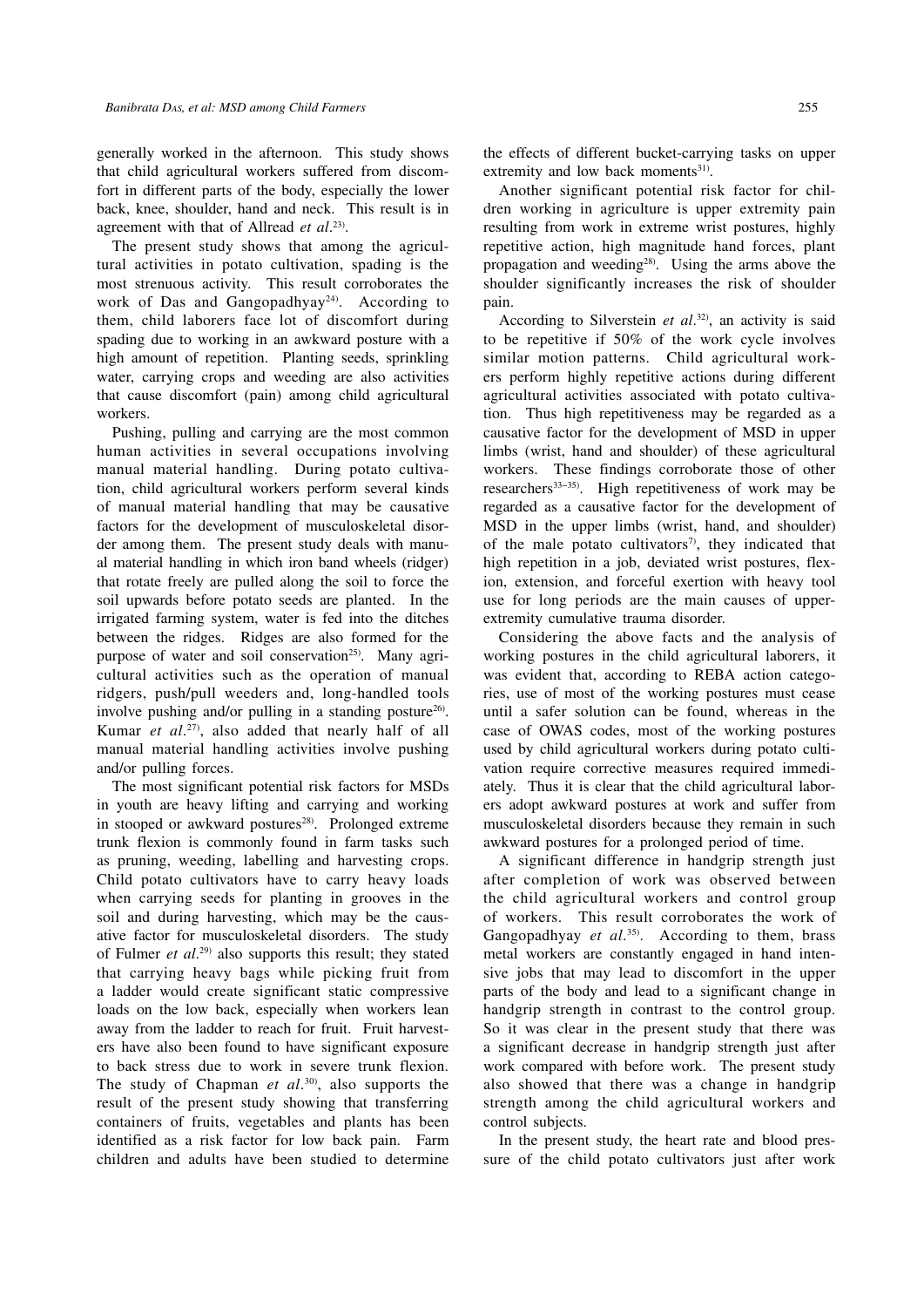generally worked in the afternoon. This study shows that child agricultural workers suffered from discomfort in different parts of the body, especially the lower back, knee, shoulder, hand and neck. This result is in agreement with that of Allread *et al*. 23).

The present study shows that among the agricultural activities in potato cultivation, spading is the most strenuous activity. This result corroborates the work of Das and Gangopadhyay<sup>24)</sup>. According to them, child laborers face lot of discomfort during spading due to working in an awkward posture with a high amount of repetition. Planting seeds, sprinkling water, carrying crops and weeding are also activities that cause discomfort (pain) among child agricultural workers.

Pushing, pulling and carrying are the most common human activities in several occupations involving manual material handling. During potato cultivation, child agricultural workers perform several kinds of manual material handling that may be causative factors for the development of musculoskeletal disorder among them. The present study deals with manual material handling in which iron band wheels (ridger) that rotate freely are pulled along the soil to force the soil upwards before potato seeds are planted. In the irrigated farming system, water is fed into the ditches between the ridges. Ridges are also formed for the purpose of water and soil conservation<sup>25)</sup>. Many agricultural activities such as the operation of manual ridgers, push/pull weeders and, long-handled tools involve pushing and/or pulling in a standing posture<sup>26</sup>. Kumar *et al*. 27), also added that nearly half of all manual material handling activities involve pushing and/or pulling forces.

The most significant potential risk factors for MSDs in youth are heavy lifting and carrying and working in stooped or awkward postures $28$ ). Prolonged extreme trunk flexion is commonly found in farm tasks such as pruning, weeding, labelling and harvesting crops. Child potato cultivators have to carry heavy loads when carrying seeds for planting in grooves in the soil and during harvesting, which may be the causative factor for musculoskeletal disorders. The study of Fulmer *et al*. 29) also supports this result; they stated that carrying heavy bags while picking fruit from a ladder would create significant static compressive loads on the low back, especially when workers lean away from the ladder to reach for fruit. Fruit harvesters have also been found to have significant exposure to back stress due to work in severe trunk flexion. The study of Chapman *et al*. 30), also supports the result of the present study showing that transferring containers of fruits, vegetables and plants has been identified as a risk factor for low back pain. Farm children and adults have been studied to determine

the effects of different bucket-carrying tasks on upper extremity and low back moments<sup>31)</sup>.

Another significant potential risk factor for children working in agriculture is upper extremity pain resulting from work in extreme wrist postures, highly repetitive action, high magnitude hand forces, plant propagation and weeding<sup>28)</sup>. Using the arms above the shoulder significantly increases the risk of shoulder pain.

According to Silverstein *et al*. 32), an activity is said to be repetitive if 50% of the work cycle involves similar motion patterns. Child agricultural workers perform highly repetitive actions during different agricultural activities associated with potato cultivation. Thus high repetitiveness may be regarded as a causative factor for the development of MSD in upper limbs (wrist, hand and shoulder) of these agricultural workers. These findings corroborate those of other researchers<sup>33–35)</sup>. High repetitiveness of work may be regarded as a causative factor for the development of MSD in the upper limbs (wrist, hand, and shoulder) of the male potato cultivators<sup>7)</sup>, they indicated that high repetition in a job, deviated wrist postures, flexion, extension, and forceful exertion with heavy tool use for long periods are the main causes of upperextremity cumulative trauma disorder.

Considering the above facts and the analysis of working postures in the child agricultural laborers, it was evident that, according to REBA action categories, use of most of the working postures must cease until a safer solution can be found, whereas in the case of OWAS codes, most of the working postures used by child agricultural workers during potato cultivation require corrective measures required immediately. Thus it is clear that the child agricultural laborers adopt awkward postures at work and suffer from musculoskeletal disorders because they remain in such awkward postures for a prolonged period of time.

A significant difference in handgrip strength just after completion of work was observed between the child agricultural workers and control group of workers. This result corroborates the work of Gangopadhyay et al.<sup>35)</sup>. According to them, brass metal workers are constantly engaged in hand intensive jobs that may lead to discomfort in the upper parts of the body and lead to a significant change in handgrip strength in contrast to the control group. So it was clear in the present study that there was a significant decrease in handgrip strength just after work compared with before work. The present study also showed that there was a change in handgrip strength among the child agricultural workers and control subjects.

In the present study, the heart rate and blood pressure of the child potato cultivators just after work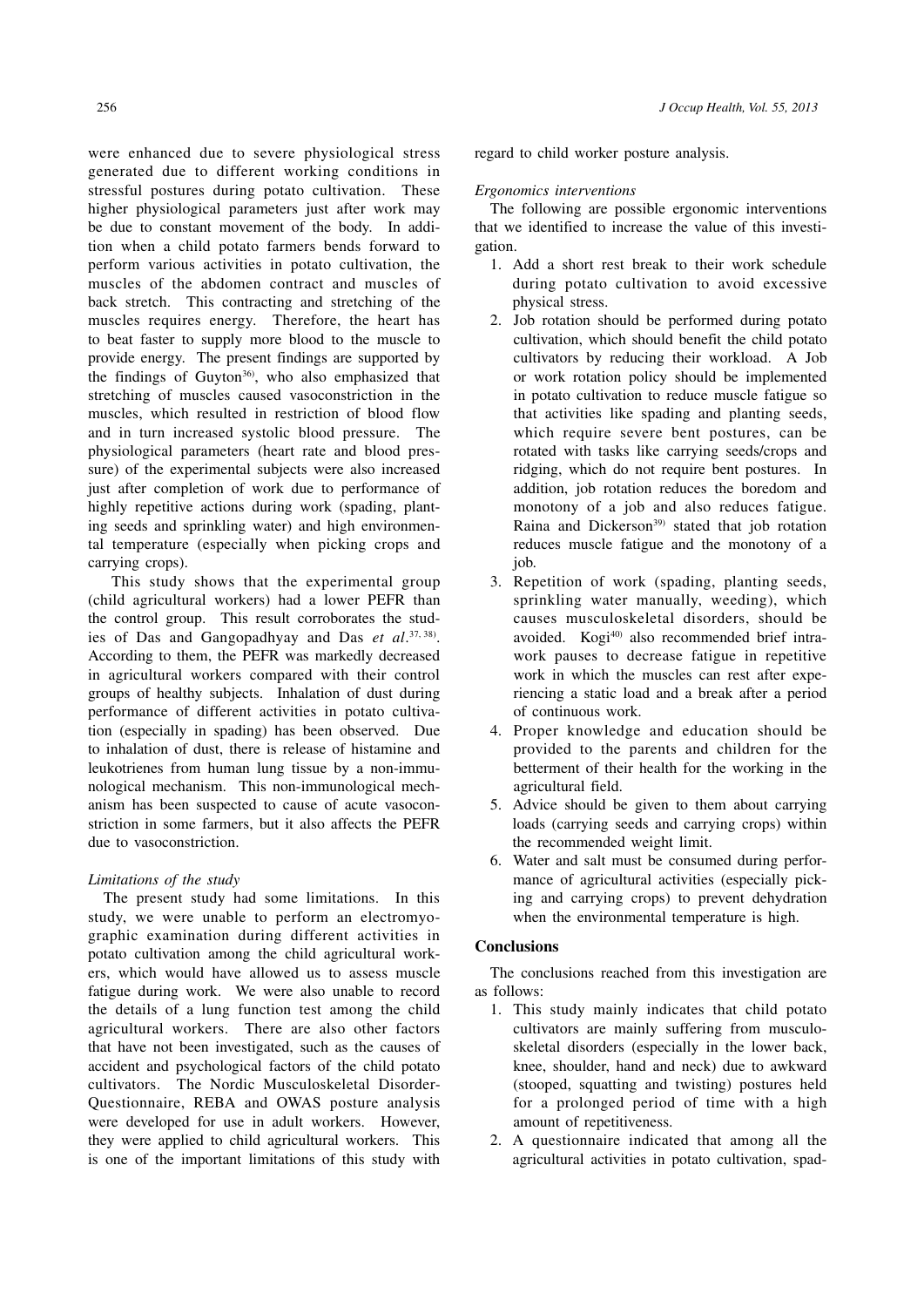were enhanced due to severe physiological stress generated due to different working conditions in stressful postures during potato cultivation. These higher physiological parameters just after work may be due to constant movement of the body. In addition when a child potato farmers bends forward to perform various activities in potato cultivation, the muscles of the abdomen contract and muscles of back stretch. This contracting and stretching of the muscles requires energy. Therefore, the heart has to beat faster to supply more blood to the muscle to provide energy. The present findings are supported by the findings of Guyton<sup>36</sup>, who also emphasized that stretching of muscles caused vasoconstriction in the muscles, which resulted in restriction of blood flow and in turn increased systolic blood pressure. The physiological parameters (heart rate and blood pressure) of the experimental subjects were also increased just after completion of work due to performance of highly repetitive actions during work (spading, planting seeds and sprinkling water) and high environmental temperature (especially when picking crops and carrying crops).

 This study shows that the experimental group (child agricultural workers) had a lower PEFR than the control group. This result corroborates the studies of Das and Gangopadhyay and Das *et al*. 37, 38). According to them, the PEFR was markedly decreased in agricultural workers compared with their control groups of healthy subjects. Inhalation of dust during performance of different activities in potato cultivation (especially in spading) has been observed. Due to inhalation of dust, there is release of histamine and leukotrienes from human lung tissue by a non-immunological mechanism. This non-immunological mechanism has been suspected to cause of acute vasoconstriction in some farmers, but it also affects the PEFR due to vasoconstriction.

## *Limitations of the study*

The present study had some limitations. In this study, we were unable to perform an electromyographic examination during different activities in potato cultivation among the child agricultural workers, which would have allowed us to assess muscle fatigue during work. We were also unable to record the details of a lung function test among the child agricultural workers. There are also other factors that have not been investigated, such as the causes of accident and psychological factors of the child potato cultivators. The Nordic Musculoskeletal Disorder-Questionnaire, REBA and OWAS posture analysis were developed for use in adult workers. However, they were applied to child agricultural workers. This is one of the important limitations of this study with regard to child worker posture analysis.

#### *Ergonomics interventions*

The following are possible ergonomic interventions that we identified to increase the value of this investigation.

- 1. Add a short rest break to their work schedule during potato cultivation to avoid excessive physical stress.
- 2. Job rotation should be performed during potato cultivation, which should benefit the child potato cultivators by reducing their workload. A Job or work rotation policy should be implemented in potato cultivation to reduce muscle fatigue so that activities like spading and planting seeds, which require severe bent postures, can be rotated with tasks like carrying seeds/crops and ridging, which do not require bent postures. In addition, job rotation reduces the boredom and monotony of a job and also reduces fatigue. Raina and Dickerson<sup>39)</sup> stated that job rotation reduces muscle fatigue and the monotony of a job.
- 3. Repetition of work (spading, planting seeds, sprinkling water manually, weeding), which causes musculoskeletal disorders, should be avoided. Kogi<sup>40)</sup> also recommended brief intrawork pauses to decrease fatigue in repetitive work in which the muscles can rest after experiencing a static load and a break after a period of continuous work.
- 4. Proper knowledge and education should be provided to the parents and children for the betterment of their health for the working in the agricultural field.
- 5. Advice should be given to them about carrying loads (carrying seeds and carrying crops) within the recommended weight limit.
- 6. Water and salt must be consumed during performance of agricultural activities (especially picking and carrying crops) to prevent dehydration when the environmental temperature is high.

## **Conclusions**

The conclusions reached from this investigation are as follows:

- 1. This study mainly indicates that child potato cultivators are mainly suffering from musculoskeletal disorders (especially in the lower back, knee, shoulder, hand and neck) due to awkward (stooped, squatting and twisting) postures held for a prolonged period of time with a high amount of repetitiveness.
- 2. A questionnaire indicated that among all the agricultural activities in potato cultivation, spad-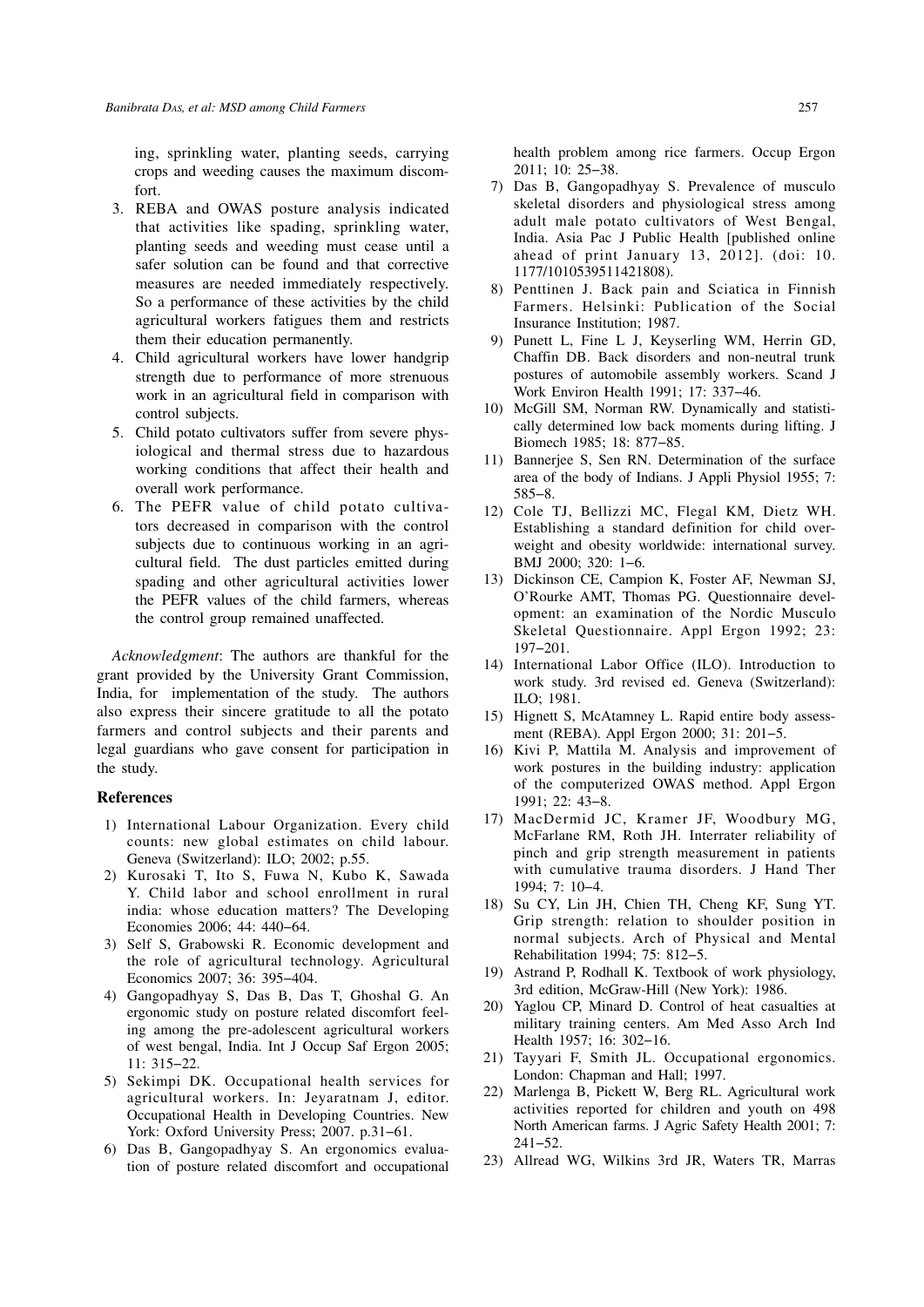ing, sprinkling water, planting seeds, carrying crops and weeding causes the maximum discomfort.

- 3. REBA and OWAS posture analysis indicated that activities like spading, sprinkling water, planting seeds and weeding must cease until a safer solution can be found and that corrective measures are needed immediately respectively. So a performance of these activities by the child agricultural workers fatigues them and restricts them their education permanently.
- 4. Child agricultural workers have lower handgrip strength due to performance of more strenuous work in an agricultural field in comparison with control subjects.
- 5. Child potato cultivators suffer from severe physiological and thermal stress due to hazardous working conditions that affect their health and overall work performance.
- 6. The PEFR value of child potato cultivators decreased in comparison with the control subjects due to continuous working in an agricultural field. The dust particles emitted during spading and other agricultural activities lower the PEFR values of the child farmers, whereas the control group remained unaffected.

*Acknowledgment*: The authors are thankful for the grant provided by the University Grant Commission, India, for implementation of the study. The authors also express their sincere gratitude to all the potato farmers and control subjects and their parents and legal guardians who gave consent for participation in the study.

#### **References**

- 1) International Labour Organization. Every child counts: new global estimates on child labour. Geneva (Switzerland): ILO; 2002; p.55.
- 2) Kurosaki T, Ito S, Fuwa N, Kubo K, Sawada Y. Child labor and school enrollment in rural india: whose education matters? The Developing Economies 2006; 44: 440−64.
- 3) Self S, Grabowski R. Economic development and the role of agricultural technology. Agricultural Economics 2007; 36: 395−404.
- 4) Gangopadhyay S, Das B, Das T, Ghoshal G. An ergonomic study on posture related discomfort feeling among the pre-adolescent agricultural workers of west bengal, India. Int J Occup Saf Ergon 2005; 11: 315−22.
- 5) Sekimpi DK. Occupational health services for agricultural workers. In: Jeyaratnam J, editor. Occupational Health in Developing Countries. New York: Oxford University Press; 2007. p.31−61.
- 6) Das B, Gangopadhyay S. An ergonomics evaluation of posture related discomfort and occupational

health problem among rice farmers. Occup Ergon 2011; 10: 25−38.

- 7) Das B, Gangopadhyay S. Prevalence of musculo skeletal disorders and physiological stress among adult male potato cultivators of West Bengal, India. Asia Pac J Public Health [published online ahead of print January 13, 2012]. (doi: 10. 1177/1010539511421808).
- 8) Penttinen J. Back pain and Sciatica in Finnish Farmers. Helsinki: Publication of the Social Insurance Institution; 1987.
- 9) Punett L, Fine L J, Keyserling WM, Herrin GD, Chaffin DB. Back disorders and non-neutral trunk postures of automobile assembly workers. Scand J Work Environ Health 1991; 17: 337−46.
- 10) McGill SM, Norman RW. Dynamically and statistically determined low back moments during lifting. J Biomech 1985; 18: 877−85.
- 11) Bannerjee S, Sen RN. Determination of the surface area of the body of Indians. J Appli Physiol 1955; 7: 585−8.
- 12) Cole TJ, Bellizzi MC, Flegal KM, Dietz WH. Establishing a standard definition for child overweight and obesity worldwide: international survey. BMJ 2000; 320: 1−6.
- 13) Dickinson CE, Campion K, Foster AF, Newman SJ, O'Rourke AMT, Thomas PG. Questionnaire development: an examination of the Nordic Musculo Skeletal Questionnaire. Appl Ergon 1992; 23: 197−201.
- 14) International Labor Office (ILO). Introduction to work study. 3rd revised ed. Geneva (Switzerland): ILO; 1981.
- 15) Hignett S, McAtamney L. Rapid entire body assessment (REBA). Appl Ergon 2000; 31: 201−5.
- 16) Kivi P, Mattila M. Analysis and improvement of work postures in the building industry: application of the computerized OWAS method. Appl Ergon 1991; 22: 43−8.
- 17) MacDermid JC, Kramer JF, Woodbury MG, McFarlane RM, Roth JH. Interrater reliability of pinch and grip strength measurement in patients with cumulative trauma disorders. J Hand Ther 1994; 7: 10−4.
- 18) Su CY, Lin JH, Chien TH, Cheng KF, Sung YT. Grip strength: relation to shoulder position in normal subjects. Arch of Physical and Mental Rehabilitation 1994; 75: 812−5.
- 19) Astrand P, Rodhall K. Textbook of work physiology, 3rd edition, McGraw-Hill (New York): 1986.
- 20) Yaglou CP, Minard D. Control of heat casualties at military training centers. Am Med Asso Arch Ind Health 1957; 16: 302−16.
- 21) Tayyari F, Smith JL. Occupational ergonomics. London: Chapman and Hall; 1997.
- 22) Marlenga B, Pickett W, Berg RL. Agricultural work activities reported for children and youth on 498 North American farms. J Agric Safety Health 2001; 7: 241−52.
- 23) Allread WG, Wilkins 3rd JR, Waters TR, Marras